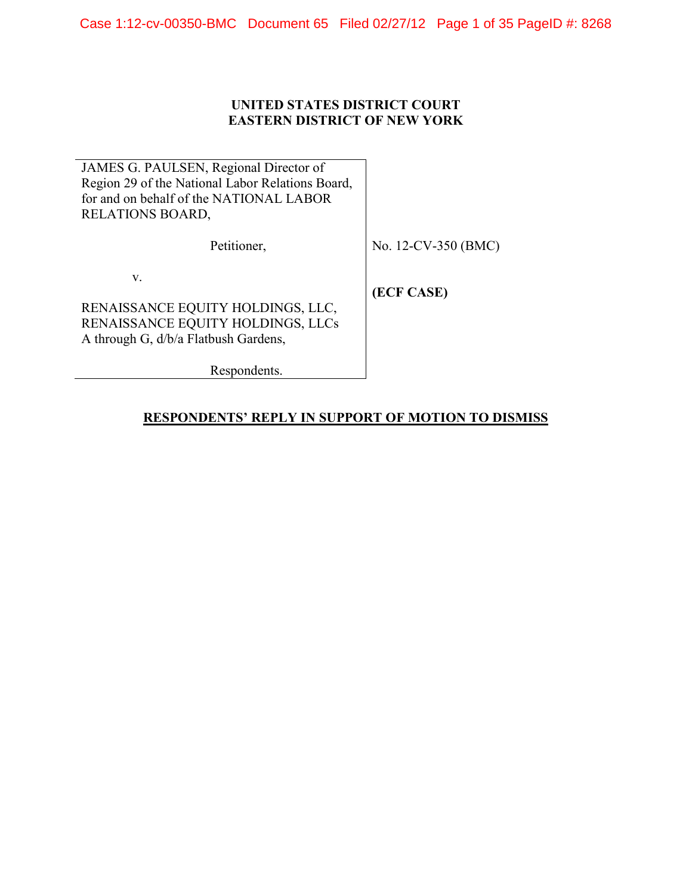## **UNITED STATES DISTRICT COURT EASTERN DISTRICT OF NEW YORK**

JAMES G. PAULSEN, Regional Director of Region 29 of the National Labor Relations Board, for and on behalf of the NATIONAL LABOR RELATIONS BOARD,

Petitioner,

No. 12-CV-350 (BMC)

v.

RENAISSANCE EQUITY HOLDINGS, LLC, RENAISSANCE EQUITY HOLDINGS, LLCs A through G, d/b/a Flatbush Gardens,

**(ECF CASE)**

Respondents.

# **RESPONDENTS' REPLY IN SUPPORT OF MOTION TO DISMISS**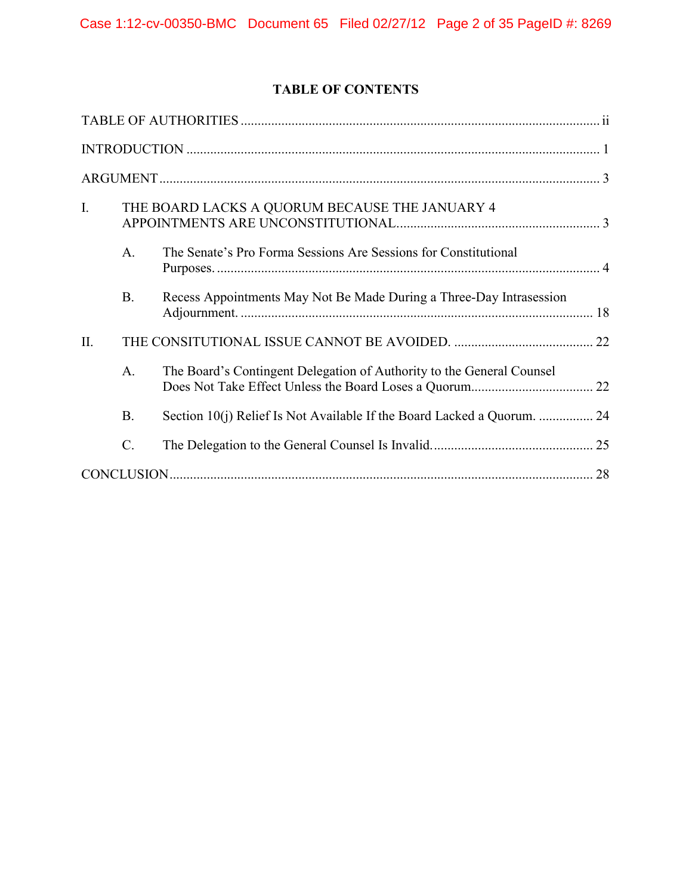# **TABLE OF CONTENTS**

| $\mathbf{I}$ . |                | THE BOARD LACKS A QUORUM BECAUSE THE JANUARY 4                        |  |
|----------------|----------------|-----------------------------------------------------------------------|--|
|                | A <sub>1</sub> | The Senate's Pro Forma Sessions Are Sessions for Constitutional       |  |
|                | <b>B.</b>      | Recess Appointments May Not Be Made During a Three-Day Intrasession   |  |
| II.            |                |                                                                       |  |
|                | A.             | The Board's Contingent Delegation of Authority to the General Counsel |  |
|                | B.             |                                                                       |  |
|                | C.             |                                                                       |  |
|                |                |                                                                       |  |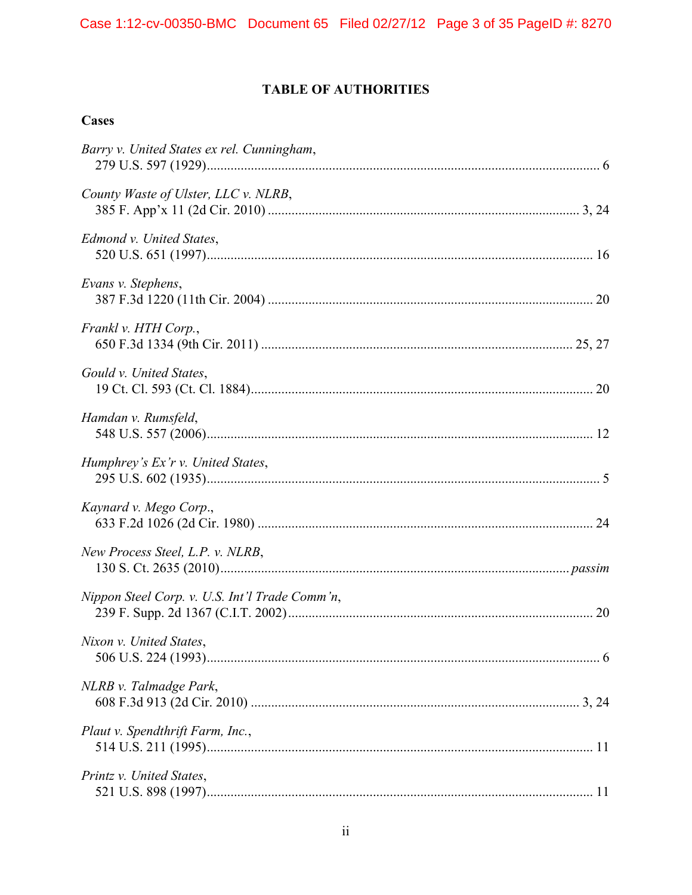# **TABLE OF AUTHORITIES**

<span id="page-2-0"></span>

| Cases                                          |  |
|------------------------------------------------|--|
| Barry v. United States ex rel. Cunningham,     |  |
| County Waste of Ulster, LLC v. NLRB,           |  |
| Edmond v. United States,                       |  |
| Evans v. Stephens,                             |  |
| Frankl v. HTH Corp.,                           |  |
| Gould v. United States,                        |  |
| Hamdan v. Rumsfeld,                            |  |
| Humphrey's Ex'r v. United States,              |  |
| Kaynard v. Mego Corp.,                         |  |
| New Process Steel, L.P. v. NLRB,               |  |
| Nippon Steel Corp. v. U.S. Int'l Trade Comm'n, |  |
| Nixon v. United States,                        |  |
| NLRB v. Talmadge Park,                         |  |
| Plaut v. Spendthrift Farm, Inc.,               |  |
| Printz v. United States,                       |  |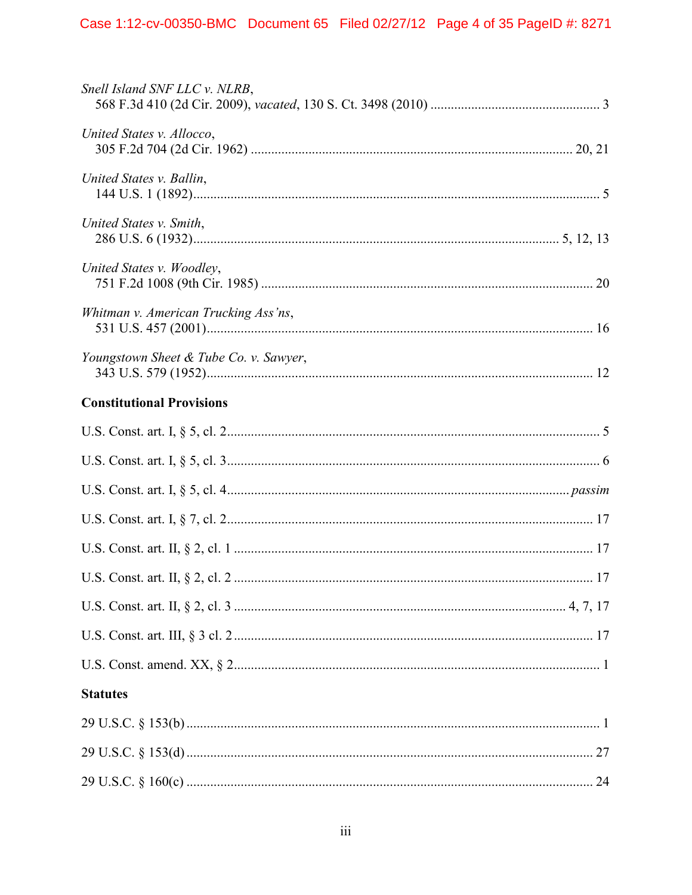| Snell Island SNF LLC v. NLRB,          |  |
|----------------------------------------|--|
| United States v. Allocco,              |  |
| United States v. Ballin,               |  |
| United States v. Smith,                |  |
| United States v. Woodley,              |  |
| Whitman v. American Trucking Ass'ns,   |  |
| Youngstown Sheet & Tube Co. v. Sawyer, |  |
| <b>Constitutional Provisions</b>       |  |
|                                        |  |
|                                        |  |
|                                        |  |
|                                        |  |
|                                        |  |
|                                        |  |
|                                        |  |
|                                        |  |
|                                        |  |
| <b>Statutes</b>                        |  |
|                                        |  |
|                                        |  |
|                                        |  |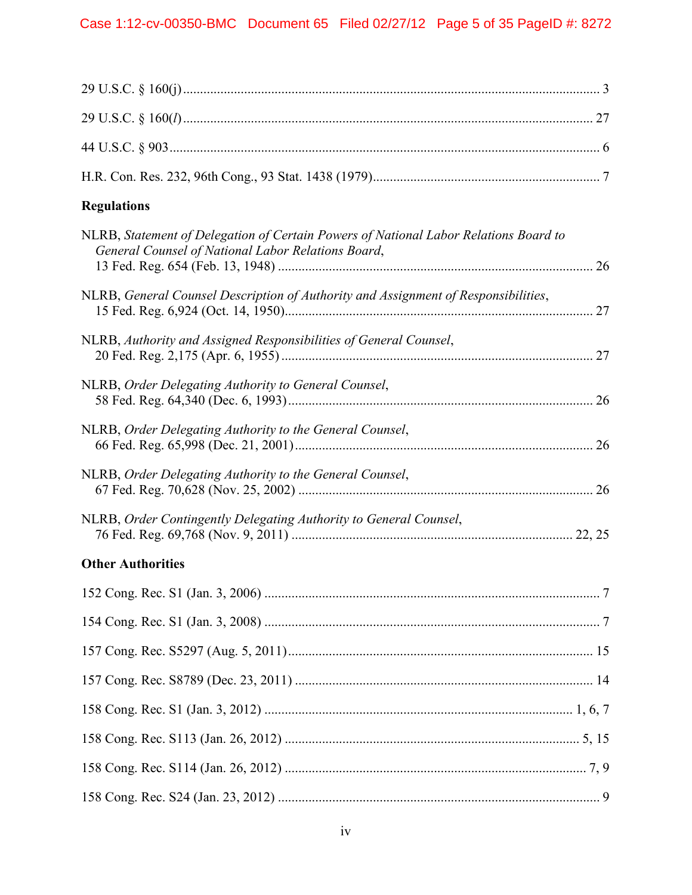| <b>Regulations</b>                                                                                                                         |  |
|--------------------------------------------------------------------------------------------------------------------------------------------|--|
| NLRB, Statement of Delegation of Certain Powers of National Labor Relations Board to<br>General Counsel of National Labor Relations Board, |  |
| NLRB, General Counsel Description of Authority and Assignment of Responsibilities,                                                         |  |
| NLRB, Authority and Assigned Responsibilities of General Counsel,                                                                          |  |
| NLRB, Order Delegating Authority to General Counsel,                                                                                       |  |
| NLRB, Order Delegating Authority to the General Counsel,                                                                                   |  |
| NLRB, Order Delegating Authority to the General Counsel,                                                                                   |  |
| NLRB, Order Contingently Delegating Authority to General Counsel,                                                                          |  |
| <b>Other Authorities</b>                                                                                                                   |  |
|                                                                                                                                            |  |
|                                                                                                                                            |  |
|                                                                                                                                            |  |
|                                                                                                                                            |  |
|                                                                                                                                            |  |
|                                                                                                                                            |  |
|                                                                                                                                            |  |
|                                                                                                                                            |  |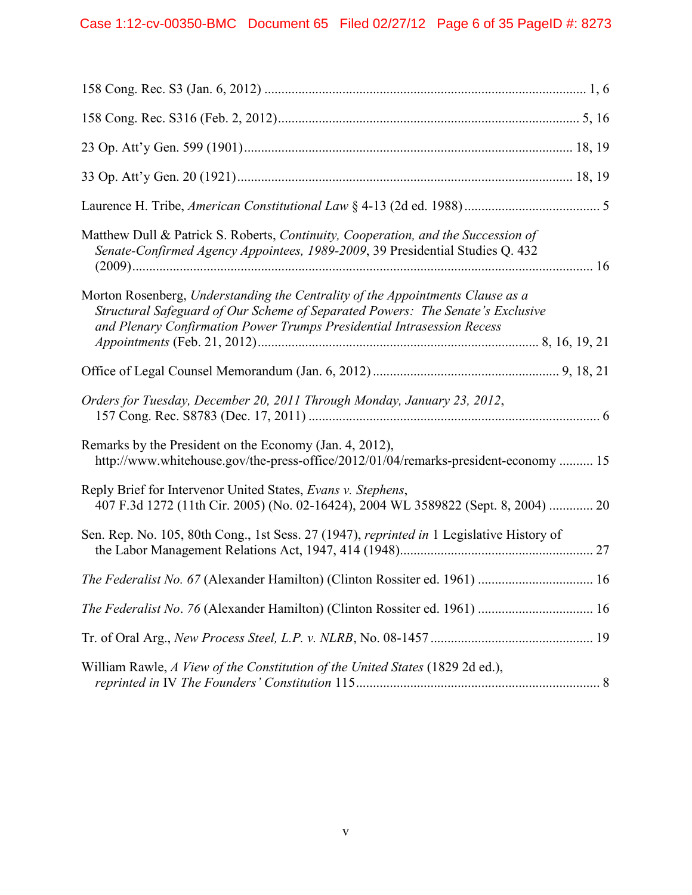| Matthew Dull & Patrick S. Roberts, Continuity, Cooperation, and the Succession of<br>Senate-Confirmed Agency Appointees, 1989-2009, 39 Presidential Studies Q. 432                                                                         |
|--------------------------------------------------------------------------------------------------------------------------------------------------------------------------------------------------------------------------------------------|
| Morton Rosenberg, Understanding the Centrality of the Appointments Clause as a<br>Structural Safeguard of Our Scheme of Separated Powers: The Senate's Exclusive<br>and Plenary Confirmation Power Trumps Presidential Intrasession Recess |
|                                                                                                                                                                                                                                            |
| Orders for Tuesday, December 20, 2011 Through Monday, January 23, 2012,                                                                                                                                                                    |
| Remarks by the President on the Economy (Jan. 4, 2012),<br>http://www.whitehouse.gov/the-press-office/2012/01/04/remarks-president-economy  15                                                                                             |
| Reply Brief for Intervenor United States, Evans v. Stephens,<br>407 F.3d 1272 (11th Cir. 2005) (No. 02-16424), 2004 WL 3589822 (Sept. 8, 2004)  20                                                                                         |
| Sen. Rep. No. 105, 80th Cong., 1st Sess. 27 (1947), reprinted in 1 Legislative History of                                                                                                                                                  |
| The Federalist No. 67 (Alexander Hamilton) (Clinton Rossiter ed. 1961)  16                                                                                                                                                                 |
| The Federalist No. 76 (Alexander Hamilton) (Clinton Rossiter ed. 1961)  16                                                                                                                                                                 |
|                                                                                                                                                                                                                                            |
| William Rawle, A View of the Constitution of the United States (1829 2d ed.),                                                                                                                                                              |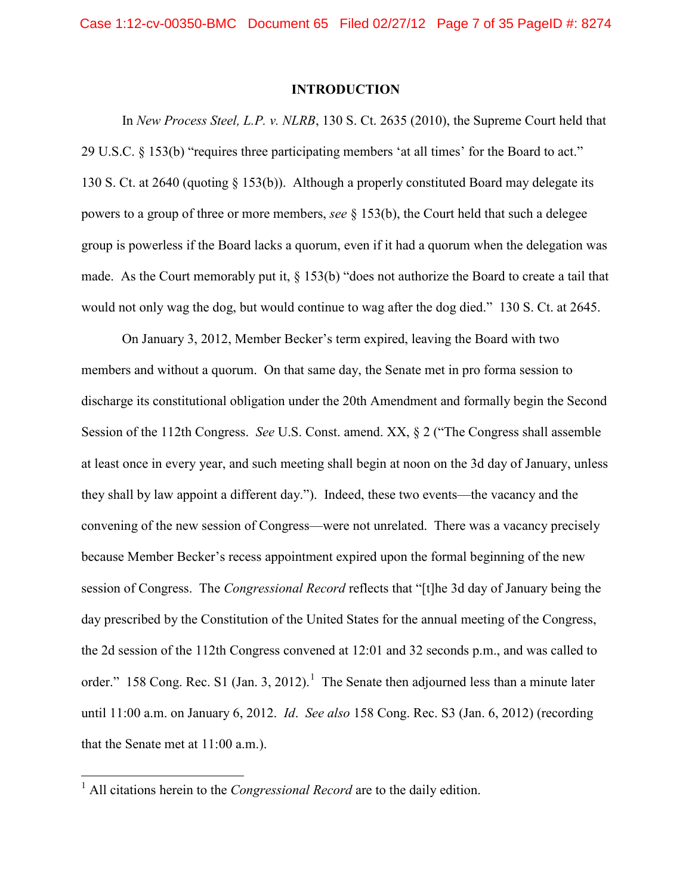#### **INTRODUCTION**

<span id="page-6-0"></span>In *New Process Steel, L.P. v. NLRB*, 130 S. Ct. 2635 (2010), the Supreme Court held that 29 U.S.C. § 153(b) "requires three participating members 'at all times' for the Board to act." 130 S. Ct. at 2640 (quoting § 153(b)). Although a properly constituted Board may delegate its powers to a group of three or more members, *see* § 153(b), the Court held that such a delegee group is powerless if the Board lacks a quorum, even if it had a quorum when the delegation was made. As the Court memorably put it, § 153(b) "does not authorize the Board to create a tail that would not only wag the dog, but would continue to wag after the dog died." 130 S. Ct. at 2645.

On January 3, 2012, Member Becker's term expired, leaving the Board with two members and without a quorum. On that same day, the Senate met in pro forma session to discharge its constitutional obligation under the 20th Amendment and formally begin the Second Session of the 112th Congress. *See* U.S. Const. amend. XX, § 2 ("The Congress shall assemble at least once in every year, and such meeting shall begin at noon on the 3d day of January, unless they shall by law appoint a different day."). Indeed, these two events—the vacancy and the convening of the new session of Congress—were not unrelated. There was a vacancy precisely because Member Becker's recess appointment expired upon the formal beginning of the new session of Congress. The *Congressional Record* reflects that "[t]he 3d day of January being the day prescribed by the Constitution of the United States for the annual meeting of the Congress, the 2d session of the 112th Congress convened at 12:01 and 32 seconds p.m., and was called to order." [1](#page-6-1)58 Cong. Rec. S1 (Jan. 3, 2012).<sup>1</sup> The Senate then adjourned less than a minute later until 11:00 a.m. on January 6, 2012. *Id*. *See also* 158 Cong. Rec. S3 (Jan. 6, 2012) (recording that the Senate met at 11:00 a.m.).

<span id="page-6-1"></span> <sup>1</sup> All citations herein to the *Congressional Record* are to the daily edition.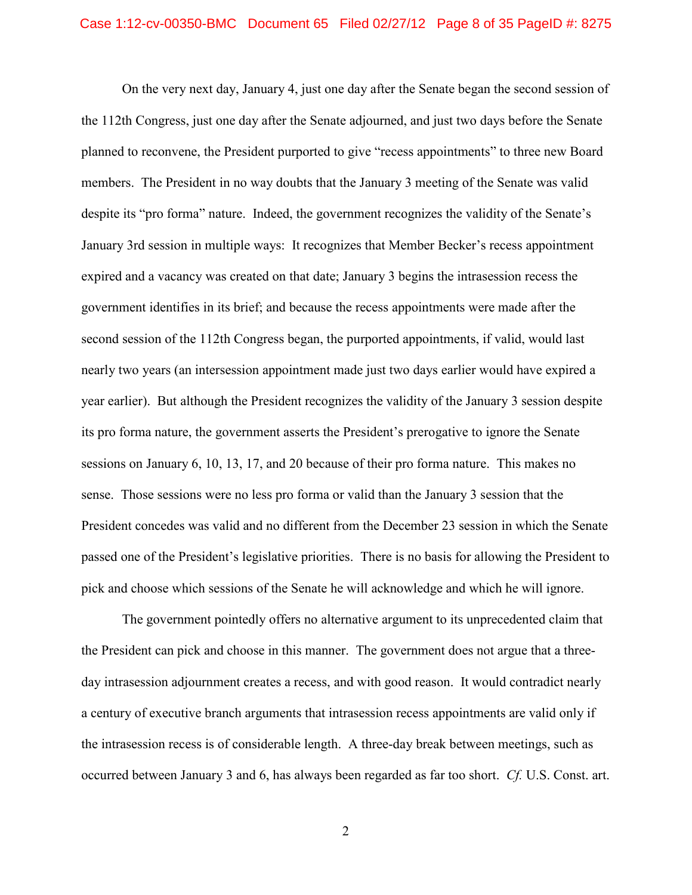On the very next day, January 4, just one day after the Senate began the second session of the 112th Congress, just one day after the Senate adjourned, and just two days before the Senate planned to reconvene, the President purported to give "recess appointments" to three new Board members. The President in no way doubts that the January 3 meeting of the Senate was valid despite its "pro forma" nature. Indeed, the government recognizes the validity of the Senate's January 3rd session in multiple ways: It recognizes that Member Becker's recess appointment expired and a vacancy was created on that date; January 3 begins the intrasession recess the government identifies in its brief; and because the recess appointments were made after the second session of the 112th Congress began, the purported appointments, if valid, would last nearly two years (an intersession appointment made just two days earlier would have expired a year earlier). But although the President recognizes the validity of the January 3 session despite its pro forma nature, the government asserts the President's prerogative to ignore the Senate sessions on January 6, 10, 13, 17, and 20 because of their pro forma nature. This makes no sense. Those sessions were no less pro forma or valid than the January 3 session that the President concedes was valid and no different from the December 23 session in which the Senate passed one of the President's legislative priorities. There is no basis for allowing the President to pick and choose which sessions of the Senate he will acknowledge and which he will ignore.

The government pointedly offers no alternative argument to its unprecedented claim that the President can pick and choose in this manner. The government does not argue that a threeday intrasession adjournment creates a recess, and with good reason. It would contradict nearly a century of executive branch arguments that intrasession recess appointments are valid only if the intrasession recess is of considerable length. A three-day break between meetings, such as occurred between January 3 and 6, has always been regarded as far too short. *Cf.* U.S. Const. art.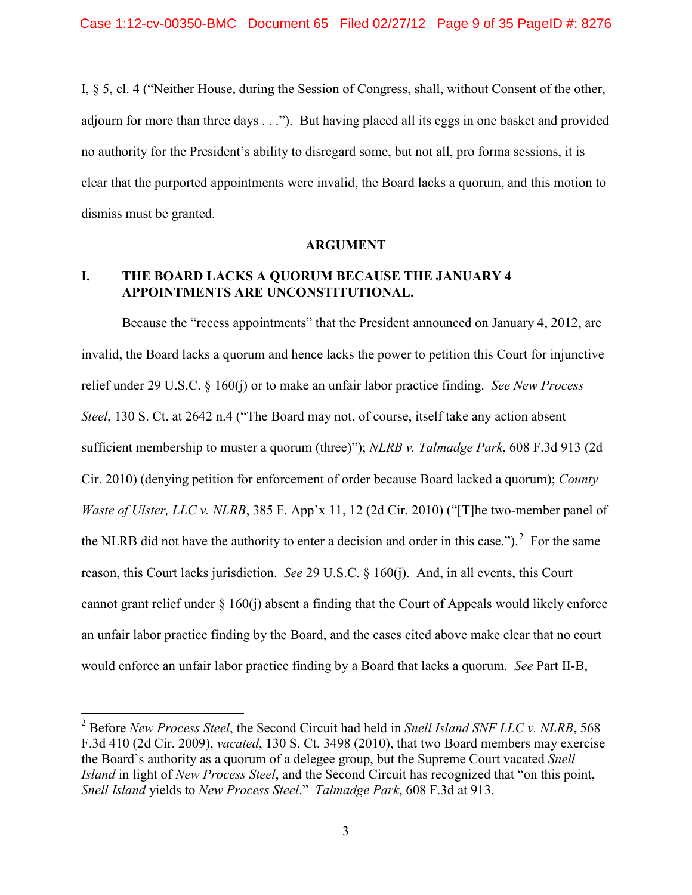I, § 5, cl. 4 ("Neither House, during the Session of Congress, shall, without Consent of the other, adjourn for more than three days . . ."). But having placed all its eggs in one basket and provided no authority for the President's ability to disregard some, but not all, pro forma sessions, it is clear that the purported appointments were invalid, the Board lacks a quorum, and this motion to dismiss must be granted.

#### **ARGUMENT**

## <span id="page-8-1"></span><span id="page-8-0"></span>**I. THE BOARD LACKS A QUORUM BECAUSE THE JANUARY 4 APPOINTMENTS ARE UNCONSTITUTIONAL.**

Because the "recess appointments" that the President announced on January 4, 2012, are invalid, the Board lacks a quorum and hence lacks the power to petition this Court for injunctive relief under 29 U.S.C. § 160(j) or to make an unfair labor practice finding. *See New Process Steel*, 130 S. Ct. at 2642 n.4 ("The Board may not, of course, itself take any action absent sufficient membership to muster a quorum (three)"); *NLRB v. Talmadge Park*, 608 F.3d 913 (2d Cir. 2010) (denying petition for enforcement of order because Board lacked a quorum); *County Waste of Ulster, LLC v. NLRB*, 385 F. App'x 11, 12 (2d Cir. 2010) ("[T]he two-member panel of the NLRB did not have the authority to enter a decision and order in this case.").<sup>[2](#page-8-2)</sup> For the same reason, this Court lacks jurisdiction. *See* 29 U.S.C. § 160(j). And, in all events, this Court cannot grant relief under  $\S$  160(j) absent a finding that the Court of Appeals would likely enforce an unfair labor practice finding by the Board, and the cases cited above make clear that no court would enforce an unfair labor practice finding by a Board that lacks a quorum. *See* Part II-B,

<span id="page-8-2"></span> <sup>2</sup> Before *New Process Steel*, the Second Circuit had held in *Snell Island SNF LLC v. NLRB*, 568 F.3d 410 (2d Cir. 2009), *vacated*, 130 S. Ct. 3498 (2010), that two Board members may exercise the Board's authority as a quorum of a delegee group, but the Supreme Court vacated *Snell Island* in light of *New Process Steel*, and the Second Circuit has recognized that "on this point, *Snell Island* yields to *New Process Steel*." *Talmadge Park*, 608 F.3d at 913.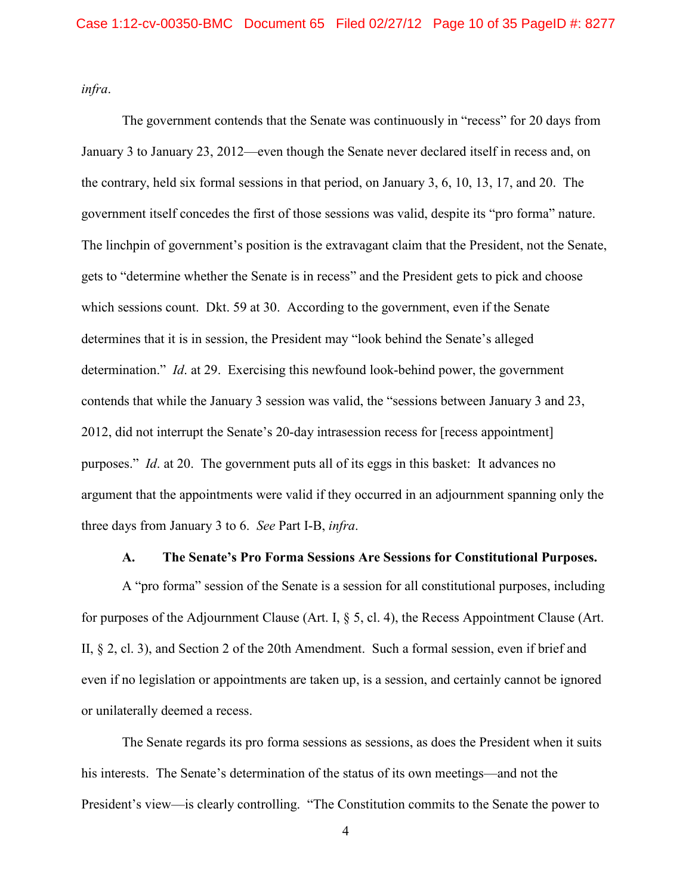*infra*.

The government contends that the Senate was continuously in "recess" for 20 days from January 3 to January 23, 2012—even though the Senate never declared itself in recess and, on the contrary, held six formal sessions in that period, on January 3, 6, 10, 13, 17, and 20. The government itself concedes the first of those sessions was valid, despite its "pro forma" nature. The linchpin of government's position is the extravagant claim that the President, not the Senate, gets to "determine whether the Senate is in recess" and the President gets to pick and choose which sessions count. Dkt. 59 at 30. According to the government, even if the Senate determines that it is in session, the President may "look behind the Senate's alleged determination." *Id*. at 29. Exercising this newfound look-behind power, the government contends that while the January 3 session was valid, the "sessions between January 3 and 23, 2012, did not interrupt the Senate's 20-day intrasession recess for [recess appointment] purposes." *Id*. at 20. The government puts all of its eggs in this basket: It advances no argument that the appointments were valid if they occurred in an adjournment spanning only the three days from January 3 to 6. *See* Part I-B, *infra*.

#### **A. The Senate's Pro Forma Sessions Are Sessions for Constitutional Purposes.**

<span id="page-9-0"></span>A "pro forma" session of the Senate is a session for all constitutional purposes, including for purposes of the Adjournment Clause (Art. I, § 5, cl. 4), the Recess Appointment Clause (Art. II, § 2, cl. 3), and Section 2 of the 20th Amendment. Such a formal session, even if brief and even if no legislation or appointments are taken up, is a session, and certainly cannot be ignored or unilaterally deemed a recess.

The Senate regards its pro forma sessions as sessions, as does the President when it suits his interests. The Senate's determination of the status of its own meetings—and not the President's view—is clearly controlling. "The Constitution commits to the Senate the power to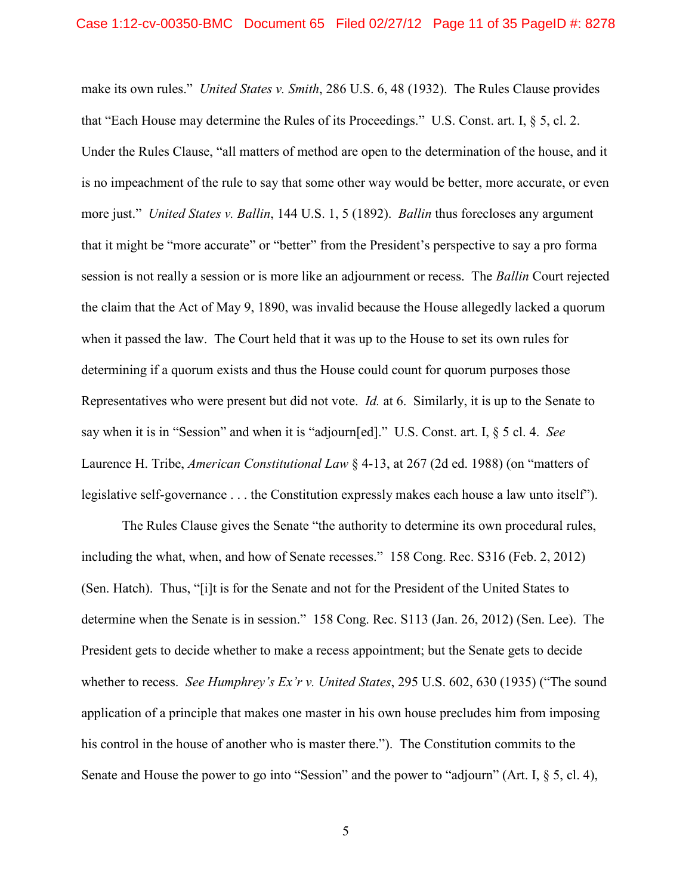make its own rules." *United States v. Smith*, 286 U.S. 6, 48 (1932). The Rules Clause provides that "Each House may determine the Rules of its Proceedings." U.S. Const. art. I, § 5, cl. 2. Under the Rules Clause, "all matters of method are open to the determination of the house, and it is no impeachment of the rule to say that some other way would be better, more accurate, or even more just." *United States v. Ballin*, 144 U.S. 1, 5 (1892). *Ballin* thus forecloses any argument that it might be "more accurate" or "better" from the President's perspective to say a pro forma session is not really a session or is more like an adjournment or recess. The *Ballin* Court rejected the claim that the Act of May 9, 1890, was invalid because the House allegedly lacked a quorum when it passed the law. The Court held that it was up to the House to set its own rules for determining if a quorum exists and thus the House could count for quorum purposes those Representatives who were present but did not vote. *Id.* at 6. Similarly, it is up to the Senate to say when it is in "Session" and when it is "adjourn[ed]." U.S. Const. art. I, § 5 cl. 4. *See* Laurence H. Tribe, *American Constitutional Law* § 4-13, at 267 (2d ed. 1988) (on "matters of legislative self-governance . . . the Constitution expressly makes each house a law unto itself").

The Rules Clause gives the Senate "the authority to determine its own procedural rules, including the what, when, and how of Senate recesses." 158 Cong. Rec. S316 (Feb. 2, 2012) (Sen. Hatch). Thus, "[i]t is for the Senate and not for the President of the United States to determine when the Senate is in session." 158 Cong. Rec. S113 (Jan. 26, 2012) (Sen. Lee). The President gets to decide whether to make a recess appointment; but the Senate gets to decide whether to recess. *See Humphrey's Ex'r v. United States*, 295 U.S. 602, 630 (1935) ("The sound application of a principle that makes one master in his own house precludes him from imposing his control in the house of another who is master there."). The Constitution commits to the Senate and House the power to go into "Session" and the power to "adjourn" (Art. I, § 5, cl. 4),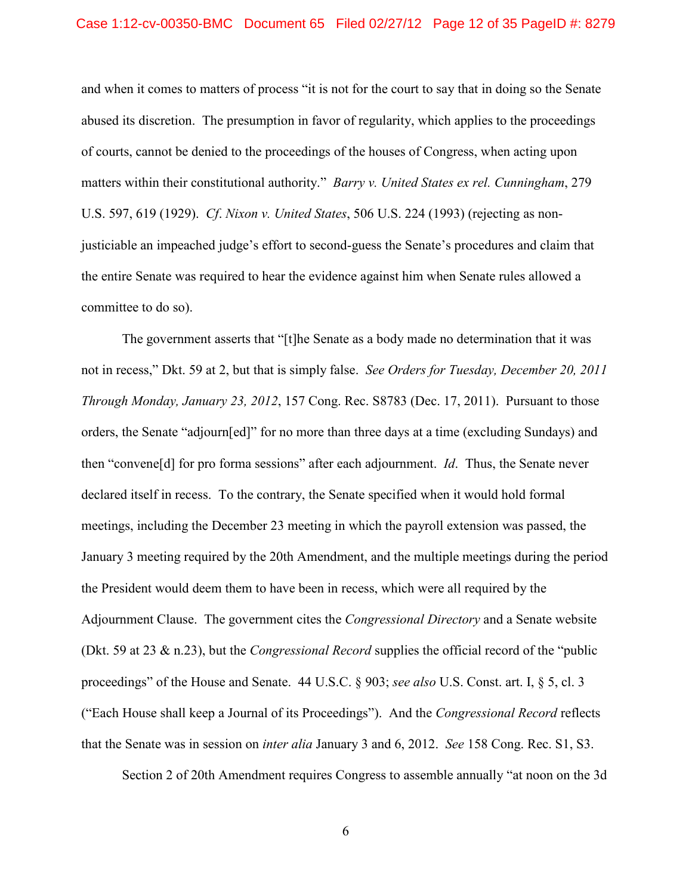#### Case 1:12-cv-00350-BMC Document 65 Filed 02/27/12 Page 12 of 35 PageID #: 8279

and when it comes to matters of process "it is not for the court to say that in doing so the Senate abused its discretion. The presumption in favor of regularity, which applies to the proceedings of courts, cannot be denied to the proceedings of the houses of Congress, when acting upon matters within their constitutional authority." *Barry v. United States ex rel. Cunningham*, 279 U.S. 597, 619 (1929). *Cf*. *Nixon v. United States*, 506 U.S. 224 (1993) (rejecting as nonjusticiable an impeached judge's effort to second-guess the Senate's procedures and claim that the entire Senate was required to hear the evidence against him when Senate rules allowed a committee to do so).

The government asserts that "[t]he Senate as a body made no determination that it was not in recess," Dkt. 59 at 2, but that is simply false. *See Orders for Tuesday, December 20, 2011 Through Monday, January 23, 2012*, 157 Cong. Rec. S8783 (Dec. 17, 2011). Pursuant to those orders, the Senate "adjourn[ed]" for no more than three days at a time (excluding Sundays) and then "convene[d] for pro forma sessions" after each adjournment. *Id*. Thus, the Senate never declared itself in recess. To the contrary, the Senate specified when it would hold formal meetings, including the December 23 meeting in which the payroll extension was passed, the January 3 meeting required by the 20th Amendment, and the multiple meetings during the period the President would deem them to have been in recess, which were all required by the Adjournment Clause. The government cites the *Congressional Directory* and a Senate website (Dkt. 59 at 23 & n.23), but the *Congressional Record* supplies the official record of the "public proceedings" of the House and Senate. 44 U.S.C. § 903; *see also* U.S. Const. art. I, § 5, cl. 3 ("Each House shall keep a Journal of its Proceedings"). And the *Congressional Record* reflects that the Senate was in session on *inter alia* January 3 and 6, 2012. *See* 158 Cong. Rec. S1, S3.

Section 2 of 20th Amendment requires Congress to assemble annually "at noon on the 3d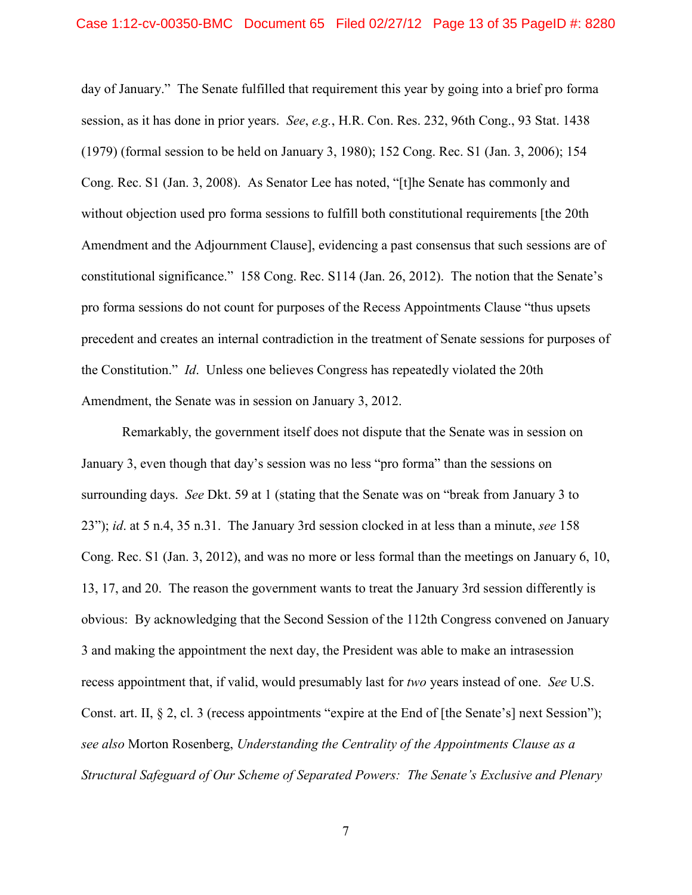day of January." The Senate fulfilled that requirement this year by going into a brief pro forma session, as it has done in prior years. *See*, *e.g.*, H.R. Con. Res. 232, 96th Cong., 93 Stat. 1438 (1979) (formal session to be held on January 3, 1980); 152 Cong. Rec. S1 (Jan. 3, 2006); 154 Cong. Rec. S1 (Jan. 3, 2008). As Senator Lee has noted, "[t]he Senate has commonly and without objection used pro forma sessions to fulfill both constitutional requirements [the 20th Amendment and the Adjournment Clause], evidencing a past consensus that such sessions are of constitutional significance." 158 Cong. Rec. S114 (Jan. 26, 2012). The notion that the Senate's pro forma sessions do not count for purposes of the Recess Appointments Clause "thus upsets precedent and creates an internal contradiction in the treatment of Senate sessions for purposes of the Constitution." *Id*. Unless one believes Congress has repeatedly violated the 20th Amendment, the Senate was in session on January 3, 2012.

Remarkably, the government itself does not dispute that the Senate was in session on January 3, even though that day's session was no less "pro forma" than the sessions on surrounding days. *See* Dkt. 59 at 1 (stating that the Senate was on "break from January 3 to 23"); *id*. at 5 n.4, 35 n.31. The January 3rd session clocked in at less than a minute, *see* 158 Cong. Rec. S1 (Jan. 3, 2012), and was no more or less formal than the meetings on January 6, 10, 13, 17, and 20. The reason the government wants to treat the January 3rd session differently is obvious: By acknowledging that the Second Session of the 112th Congress convened on January 3 and making the appointment the next day, the President was able to make an intrasession recess appointment that, if valid, would presumably last for *two* years instead of one. *See* U.S. Const. art. II, § 2, cl. 3 (recess appointments "expire at the End of [the Senate's] next Session"); *see also* Morton Rosenberg, *Understanding the Centrality of the Appointments Clause as a Structural Safeguard of Our Scheme of Separated Powers: The Senate's Exclusive and Plenary*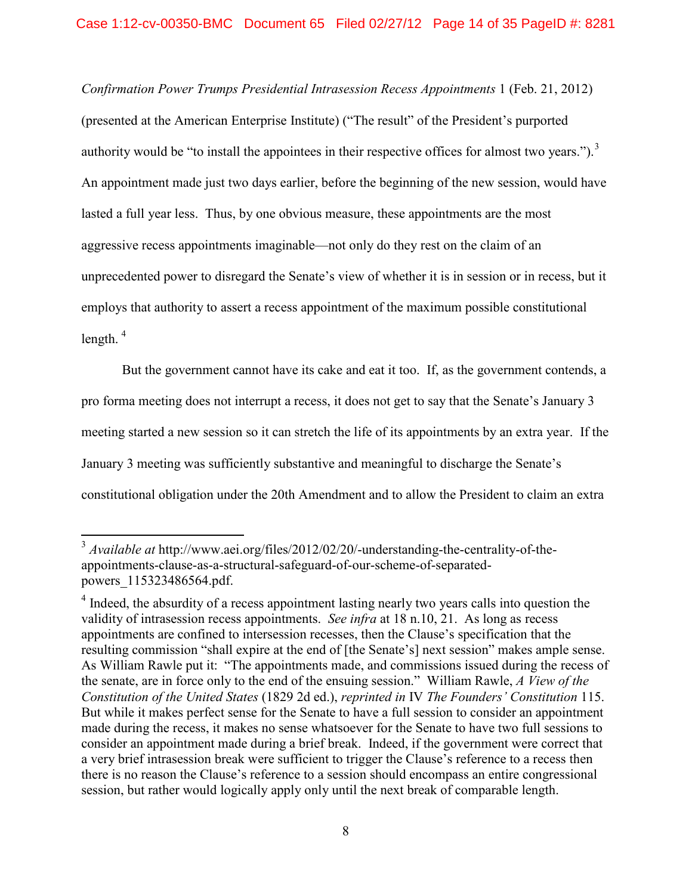*Confirmation Power Trumps Presidential Intrasession Recess Appointments* 1 (Feb. 21, 2012) (presented at the American Enterprise Institute) ("The result" of the President's purported authority would be "to install the appointees in their respective offices for almost two years." $)$ .<sup>[3](#page-13-0)</sup> An appointment made just two days earlier, before the beginning of the new session, would have lasted a full year less. Thus, by one obvious measure, these appointments are the most aggressive recess appointments imaginable—not only do they rest on the claim of an unprecedented power to disregard the Senate's view of whether it is in session or in recess, but it employs that authority to assert a recess appointment of the maximum possible constitutional length.  $4$ 

But the government cannot have its cake and eat it too. If, as the government contends, a pro forma meeting does not interrupt a recess, it does not get to say that the Senate's January 3 meeting started a new session so it can stretch the life of its appointments by an extra year. If the January 3 meeting was sufficiently substantive and meaningful to discharge the Senate's constitutional obligation under the 20th Amendment and to allow the President to claim an extra

<span id="page-13-0"></span> <sup>3</sup> *Available at* http://www.aei.org/files/2012/02/20/-understanding-the-centrality-of-theappointments-clause-as-a-structural-safeguard-of-our-scheme-of-separatedpowers\_115323486564.pdf.

<span id="page-13-1"></span><sup>&</sup>lt;sup>4</sup> Indeed, the absurdity of a recess appointment lasting nearly two years calls into question the validity of intrasession recess appointments. *See infra* at 18 n.10, 21. As long as recess appointments are confined to intersession recesses, then the Clause's specification that the resulting commission "shall expire at the end of [the Senate's] next session" makes ample sense. As William Rawle put it: "The appointments made, and commissions issued during the recess of the senate, are in force only to the end of the ensuing session." William Rawle, *A View of the Constitution of the United States* (1829 2d ed.), *reprinted in* IV *The Founders' Constitution* 115. But while it makes perfect sense for the Senate to have a full session to consider an appointment made during the recess, it makes no sense whatsoever for the Senate to have two full sessions to consider an appointment made during a brief break. Indeed, if the government were correct that a very brief intrasession break were sufficient to trigger the Clause's reference to a recess then there is no reason the Clause's reference to a session should encompass an entire congressional session, but rather would logically apply only until the next break of comparable length.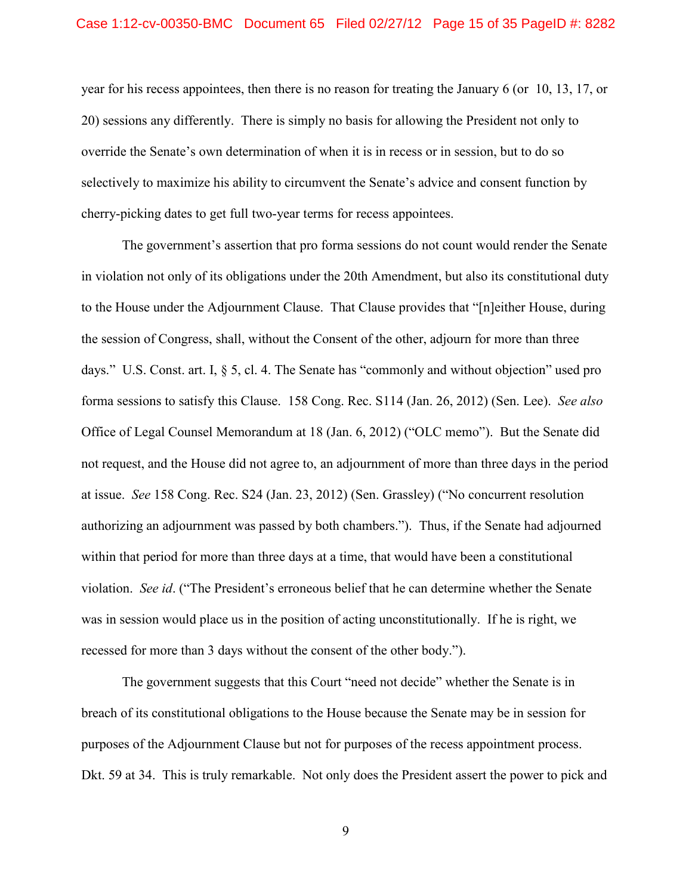#### Case 1:12-cv-00350-BMC Document 65 Filed 02/27/12 Page 15 of 35 PageID #: 8282

year for his recess appointees, then there is no reason for treating the January 6 (or 10, 13, 17, or 20) sessions any differently. There is simply no basis for allowing the President not only to override the Senate's own determination of when it is in recess or in session, but to do so selectively to maximize his ability to circumvent the Senate's advice and consent function by cherry-picking dates to get full two-year terms for recess appointees.

The government's assertion that pro forma sessions do not count would render the Senate in violation not only of its obligations under the 20th Amendment, but also its constitutional duty to the House under the Adjournment Clause. That Clause provides that "[n]either House, during the session of Congress, shall, without the Consent of the other, adjourn for more than three days." U.S. Const. art. I, § 5, cl. 4. The Senate has "commonly and without objection" used pro forma sessions to satisfy this Clause. 158 Cong. Rec. S114 (Jan. 26, 2012) (Sen. Lee). *See also* Office of Legal Counsel Memorandum at 18 (Jan. 6, 2012) ("OLC memo"). But the Senate did not request, and the House did not agree to, an adjournment of more than three days in the period at issue. *See* 158 Cong. Rec. S24 (Jan. 23, 2012) (Sen. Grassley) ("No concurrent resolution authorizing an adjournment was passed by both chambers."). Thus, if the Senate had adjourned within that period for more than three days at a time, that would have been a constitutional violation. *See id*. ("The President's erroneous belief that he can determine whether the Senate was in session would place us in the position of acting unconstitutionally. If he is right, we recessed for more than 3 days without the consent of the other body.").

The government suggests that this Court "need not decide" whether the Senate is in breach of its constitutional obligations to the House because the Senate may be in session for purposes of the Adjournment Clause but not for purposes of the recess appointment process. Dkt. 59 at 34. This is truly remarkable. Not only does the President assert the power to pick and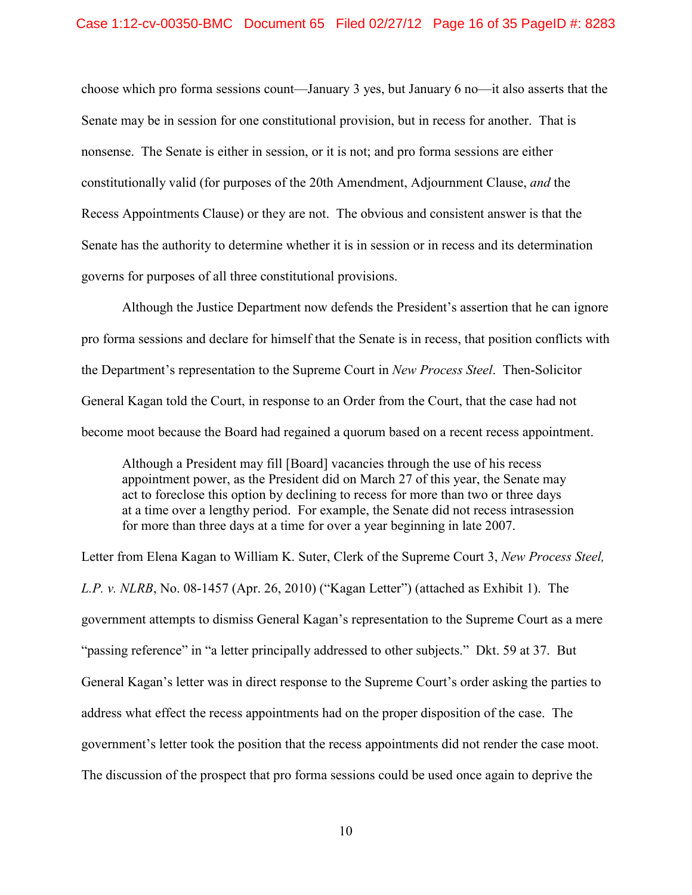choose which pro forma sessions count—January 3 yes, but January 6 no—it also asserts that the Senate may be in session for one constitutional provision, but in recess for another. That is nonsense. The Senate is either in session, or it is not; and pro forma sessions are either constitutionally valid (for purposes of the 20th Amendment, Adjournment Clause, *and* the Recess Appointments Clause) or they are not. The obvious and consistent answer is that the Senate has the authority to determine whether it is in session or in recess and its determination governs for purposes of all three constitutional provisions.

Although the Justice Department now defends the President's assertion that he can ignore pro forma sessions and declare for himself that the Senate is in recess, that position conflicts with the Department's representation to the Supreme Court in *New Process Steel*. Then-Solicitor General Kagan told the Court, in response to an Order from the Court, that the case had not become moot because the Board had regained a quorum based on a recent recess appointment.

Although a President may fill [Board] vacancies through the use of his recess appointment power, as the President did on March 27 of this year, the Senate may act to foreclose this option by declining to recess for more than two or three days at a time over a lengthy period. For example, the Senate did not recess intrasession for more than three days at a time for over a year beginning in late 2007.

Letter from Elena Kagan to William K. Suter, Clerk of the Supreme Court 3, *New Process Steel, L.P. v. NLRB*, No. 08-1457 (Apr. 26, 2010) ("Kagan Letter") (attached as Exhibit 1). The government attempts to dismiss General Kagan's representation to the Supreme Court as a mere "passing reference" in "a letter principally addressed to other subjects." Dkt. 59 at 37. But General Kagan's letter was in direct response to the Supreme Court's order asking the parties to address what effect the recess appointments had on the proper disposition of the case. The government's letter took the position that the recess appointments did not render the case moot. The discussion of the prospect that pro forma sessions could be used once again to deprive the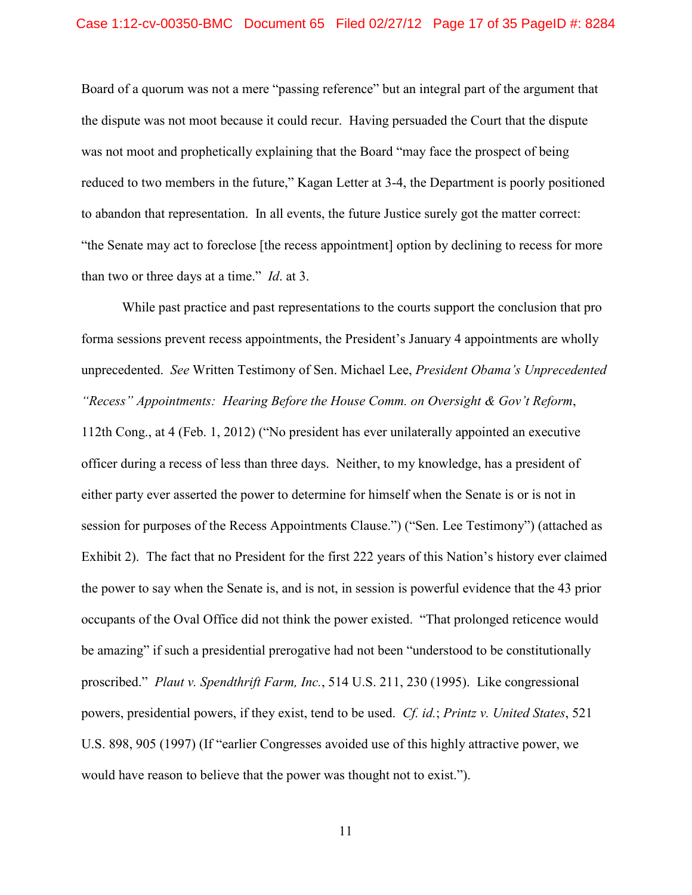#### Case 1:12-cv-00350-BMC Document 65 Filed 02/27/12 Page 17 of 35 PageID #: 8284

Board of a quorum was not a mere "passing reference" but an integral part of the argument that the dispute was not moot because it could recur. Having persuaded the Court that the dispute was not moot and prophetically explaining that the Board "may face the prospect of being reduced to two members in the future," Kagan Letter at 3-4, the Department is poorly positioned to abandon that representation. In all events, the future Justice surely got the matter correct: "the Senate may act to foreclose [the recess appointment] option by declining to recess for more than two or three days at a time." *Id*. at 3.

While past practice and past representations to the courts support the conclusion that pro forma sessions prevent recess appointments, the President's January 4 appointments are wholly unprecedented. *See* Written Testimony of Sen. Michael Lee, *President Obama's Unprecedented "Recess" Appointments: Hearing Before the House Comm. on Oversight & Gov't Reform*, 112th Cong., at 4 (Feb. 1, 2012) ("No president has ever unilaterally appointed an executive officer during a recess of less than three days. Neither, to my knowledge, has a president of either party ever asserted the power to determine for himself when the Senate is or is not in session for purposes of the Recess Appointments Clause.") ("Sen. Lee Testimony") (attached as Exhibit 2). The fact that no President for the first 222 years of this Nation's history ever claimed the power to say when the Senate is, and is not, in session is powerful evidence that the 43 prior occupants of the Oval Office did not think the power existed. "That prolonged reticence would be amazing" if such a presidential prerogative had not been "understood to be constitutionally proscribed." *Plaut v. Spendthrift Farm, Inc.*, 514 U.S. 211, 230 (1995). Like congressional powers, presidential powers, if they exist, tend to be used. *Cf. id.*; *Printz v. United States*, 521 U.S. 898, 905 (1997) (If "earlier Congresses avoided use of this highly attractive power, we would have reason to believe that the power was thought not to exist.").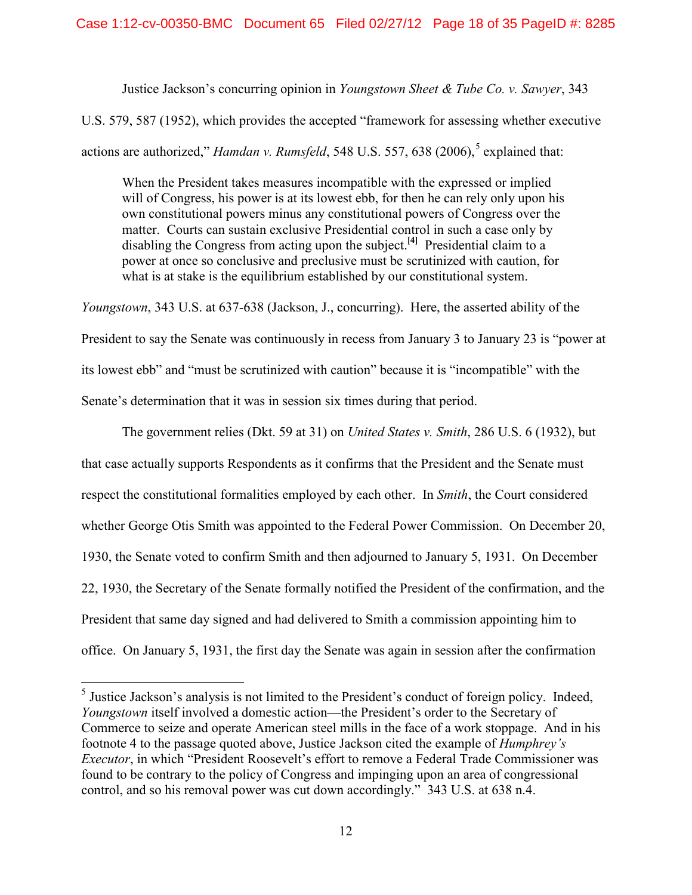Justice Jackson's concurring opinion in *Youngstown Sheet & Tube Co. v. Sawyer*, 343

U.S. 579, 587 (1952), which provides the accepted "framework for assessing whether executive

actions are authorized," *Hamdan v. Rumsfeld*, [5](#page-17-0)48 U.S. 557, 638 (2006),<sup>5</sup> explained that:

When the President takes measures incompatible with the expressed or implied will of Congress, his power is at its lowest ebb, for then he can rely only upon his own constitutional powers minus any constitutional powers of Congress over the matter. Courts can sustain exclusive Presidential control in such a case only by disabling the Congress from acting upon the subject.**[4]** Presidential claim to a power at once so conclusive and preclusive must be scrutinized with caution, for what is at stake is the equilibrium established by our constitutional system.

*Youngstown*, 343 U.S. at 637-638 (Jackson, J., concurring). Here, the asserted ability of the President to say the Senate was continuously in recess from January 3 to January 23 is "power at its lowest ebb" and "must be scrutinized with caution" because it is "incompatible" with the Senate's determination that it was in session six times during that period.

The government relies (Dkt. 59 at 31) on *United States v. Smith*, 286 U.S. 6 (1932), but that case actually supports Respondents as it confirms that the President and the Senate must respect the constitutional formalities employed by each other. In *Smith*, the Court considered whether George Otis Smith was appointed to the Federal Power Commission. On December 20, 1930, the Senate voted to confirm Smith and then adjourned to January 5, 1931. On December 22, 1930, the Secretary of the Senate formally notified the President of the confirmation, and the President that same day signed and had delivered to Smith a commission appointing him to office. On January 5, 1931, the first day the Senate was again in session after the confirmation

<span id="page-17-0"></span><sup>&</sup>lt;sup>5</sup> Justice Jackson's analysis is not limited to the President's conduct of foreign policy. Indeed, *Youngstown* itself involved a domestic action—the President's order to the Secretary of Commerce to seize and operate American steel mills in the face of a work stoppage. And in his footnote 4 to the passage quoted above, Justice Jackson cited the example of *Humphrey's Executor*, in which "President Roosevelt's effort to remove a Federal Trade Commissioner was found to be contrary to the policy of Congress and impinging upon an area of congressional control, and so his removal power was cut down accordingly." 343 U.S. at 638 n.4.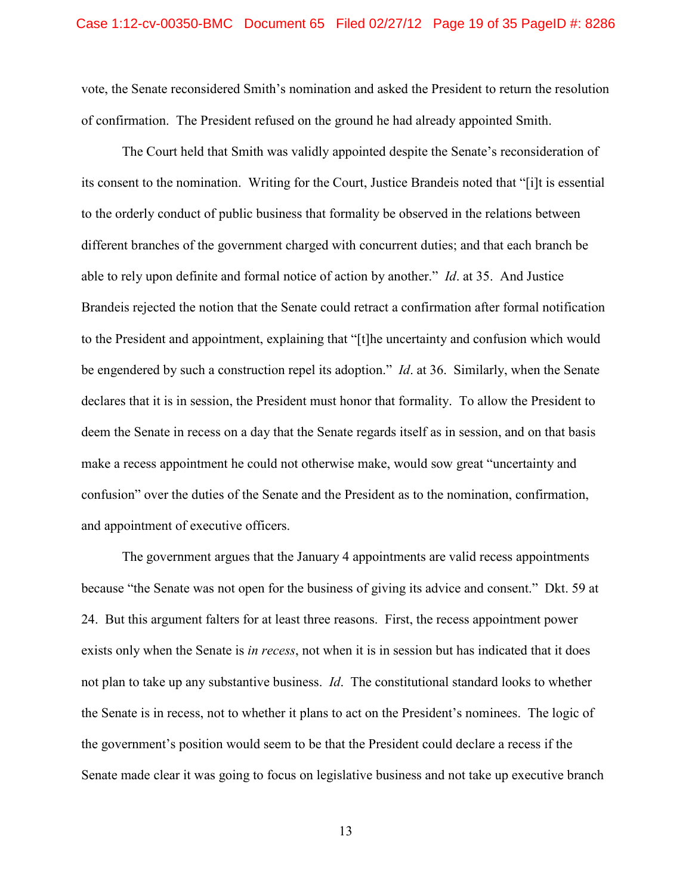vote, the Senate reconsidered Smith's nomination and asked the President to return the resolution of confirmation. The President refused on the ground he had already appointed Smith.

The Court held that Smith was validly appointed despite the Senate's reconsideration of its consent to the nomination. Writing for the Court, Justice Brandeis noted that "[i]t is essential to the orderly conduct of public business that formality be observed in the relations between different branches of the government charged with concurrent duties; and that each branch be able to rely upon definite and formal notice of action by another." *Id*. at 35. And Justice Brandeis rejected the notion that the Senate could retract a confirmation after formal notification to the President and appointment, explaining that "[t]he uncertainty and confusion which would be engendered by such a construction repel its adoption." *Id*. at 36. Similarly, when the Senate declares that it is in session, the President must honor that formality. To allow the President to deem the Senate in recess on a day that the Senate regards itself as in session, and on that basis make a recess appointment he could not otherwise make, would sow great "uncertainty and confusion" over the duties of the Senate and the President as to the nomination, confirmation, and appointment of executive officers.

The government argues that the January 4 appointments are valid recess appointments because "the Senate was not open for the business of giving its advice and consent." Dkt. 59 at 24. But this argument falters for at least three reasons. First, the recess appointment power exists only when the Senate is *in recess*, not when it is in session but has indicated that it does not plan to take up any substantive business. *Id*. The constitutional standard looks to whether the Senate is in recess, not to whether it plans to act on the President's nominees. The logic of the government's position would seem to be that the President could declare a recess if the Senate made clear it was going to focus on legislative business and not take up executive branch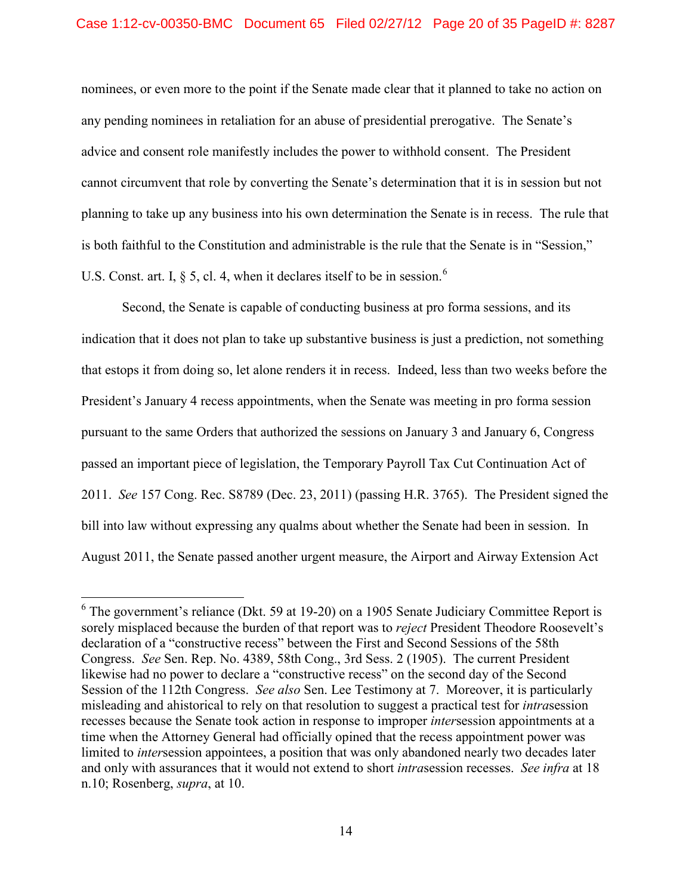### Case 1:12-cv-00350-BMC Document 65 Filed 02/27/12 Page 20 of 35 PageID #: 8287

nominees, or even more to the point if the Senate made clear that it planned to take no action on any pending nominees in retaliation for an abuse of presidential prerogative. The Senate's advice and consent role manifestly includes the power to withhold consent. The President cannot circumvent that role by converting the Senate's determination that it is in session but not planning to take up any business into his own determination the Senate is in recess. The rule that is both faithful to the Constitution and administrable is the rule that the Senate is in "Session," U.S. Const. art. I,  $\S$  5, cl. 4, when it declares itself to be in session.<sup>[6](#page-19-0)</sup>

Second, the Senate is capable of conducting business at pro forma sessions, and its indication that it does not plan to take up substantive business is just a prediction, not something that estops it from doing so, let alone renders it in recess. Indeed, less than two weeks before the President's January 4 recess appointments, when the Senate was meeting in pro forma session pursuant to the same Orders that authorized the sessions on January 3 and January 6, Congress passed an important piece of legislation, the Temporary Payroll Tax Cut Continuation Act of 2011. *See* 157 Cong. Rec. S8789 (Dec. 23, 2011) (passing H.R. 3765). The President signed the bill into law without expressing any qualms about whether the Senate had been in session. In August 2011, the Senate passed another urgent measure, the Airport and Airway Extension Act

<span id="page-19-0"></span><sup>&</sup>lt;sup>6</sup> The government's reliance (Dkt. 59 at 19-20) on a 1905 Senate Judiciary Committee Report is sorely misplaced because the burden of that report was to *reject* President Theodore Roosevelt's declaration of a "constructive recess" between the First and Second Sessions of the 58th Congress. *See* Sen. Rep. No. 4389, 58th Cong., 3rd Sess. 2 (1905). The current President likewise had no power to declare a "constructive recess" on the second day of the Second Session of the 112th Congress. *See also* Sen. Lee Testimony at 7. Moreover, it is particularly misleading and ahistorical to rely on that resolution to suggest a practical test for *intra*session recesses because the Senate took action in response to improper *inter*session appointments at a time when the Attorney General had officially opined that the recess appointment power was limited to *inter*session appointees, a position that was only abandoned nearly two decades later and only with assurances that it would not extend to short *intra*session recesses. *See infra* at 18 n.10; Rosenberg, *supra*, at 10.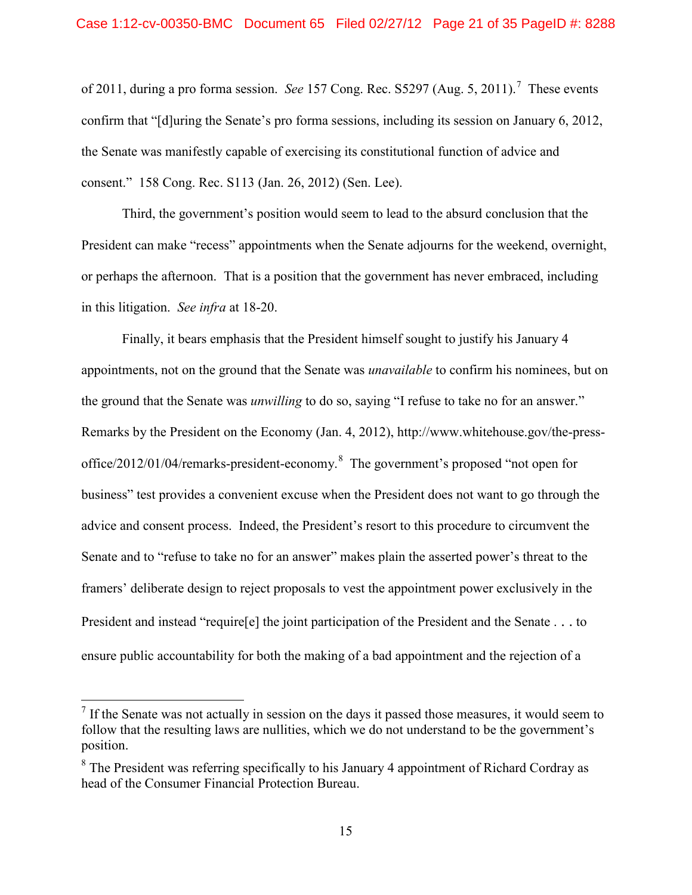#### Case 1:12-cv-00350-BMC Document 65 Filed 02/27/12 Page 21 of 35 PageID #: 8288

of 2011, during a pro forma session. *See* 157 Cong. Rec. S5297 (Aug. 5, 2011). [7](#page-20-0) These events confirm that "[d]uring the Senate's pro forma sessions, including its session on January 6, 2012, the Senate was manifestly capable of exercising its constitutional function of advice and consent." 158 Cong. Rec. S113 (Jan. 26, 2012) (Sen. Lee).

Third, the government's position would seem to lead to the absurd conclusion that the President can make "recess" appointments when the Senate adjourns for the weekend, overnight, or perhaps the afternoon. That is a position that the government has never embraced, including in this litigation. *See infra* at 18-20.

Finally, it bears emphasis that the President himself sought to justify his January 4 appointments, not on the ground that the Senate was *unavailable* to confirm his nominees, but on the ground that the Senate was *unwilling* to do so, saying "I refuse to take no for an answer." Remarks by the President on the Economy (Jan. 4, 2012), http://www.whitehouse.gov/the-press-office/2012/01/04/remarks-president-economy.<sup>[8](#page-20-1)</sup> The government's proposed "not open for business" test provides a convenient excuse when the President does not want to go through the advice and consent process. Indeed, the President's resort to this procedure to circumvent the Senate and to "refuse to take no for an answer" makes plain the asserted power's threat to the framers' deliberate design to reject proposals to vest the appointment power exclusively in the President and instead "require[e] the joint participation of the President and the Senate . . . to ensure public accountability for both the making of a bad appointment and the rejection of a

<span id="page-20-0"></span> $<sup>7</sup>$  If the Senate was not actually in session on the days it passed those measures, it would seem to</sup> follow that the resulting laws are nullities, which we do not understand to be the government's position.

<span id="page-20-1"></span><sup>&</sup>lt;sup>8</sup> The President was referring specifically to his January 4 appointment of Richard Cordray as head of the Consumer Financial Protection Bureau.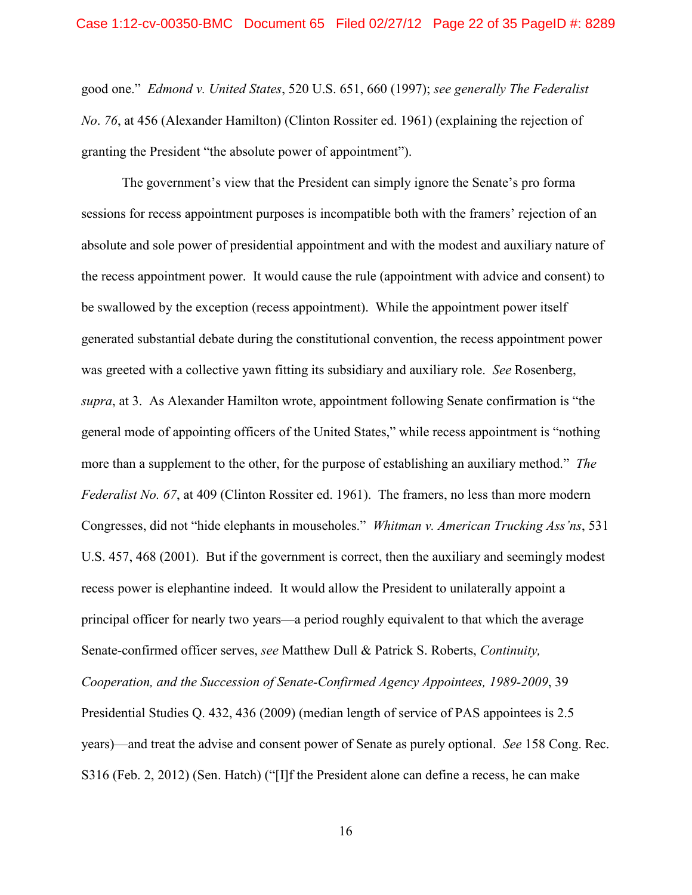good one." *Edmond v. United States*, 520 U.S. 651, 660 (1997); *see generally The Federalist No*. *76*, at 456 (Alexander Hamilton) (Clinton Rossiter ed. 1961) (explaining the rejection of granting the President "the absolute power of appointment").

The government's view that the President can simply ignore the Senate's pro forma sessions for recess appointment purposes is incompatible both with the framers' rejection of an absolute and sole power of presidential appointment and with the modest and auxiliary nature of the recess appointment power. It would cause the rule (appointment with advice and consent) to be swallowed by the exception (recess appointment). While the appointment power itself generated substantial debate during the constitutional convention, the recess appointment power was greeted with a collective yawn fitting its subsidiary and auxiliary role. *See* Rosenberg, *supra*, at 3. As Alexander Hamilton wrote, appointment following Senate confirmation is "the general mode of appointing officers of the United States," while recess appointment is "nothing more than a supplement to the other, for the purpose of establishing an auxiliary method." *The Federalist No. 67*, at 409 (Clinton Rossiter ed. 1961). The framers, no less than more modern Congresses, did not "hide elephants in mouseholes." *Whitman v. American Trucking Ass'ns*, 531 U.S. 457, 468 (2001). But if the government is correct, then the auxiliary and seemingly modest recess power is elephantine indeed. It would allow the President to unilaterally appoint a principal officer for nearly two years—a period roughly equivalent to that which the average Senate-confirmed officer serves, *see* Matthew Dull & Patrick S. Roberts, *Continuity, Cooperation, and the Succession of Senate-Confirmed Agency Appointees, 1989-2009*, 39 Presidential Studies Q. 432, 436 (2009) (median length of service of PAS appointees is 2.5 years)—and treat the advise and consent power of Senate as purely optional. *See* 158 Cong. Rec. S316 (Feb. 2, 2012) (Sen. Hatch) ("[I]f the President alone can define a recess, he can make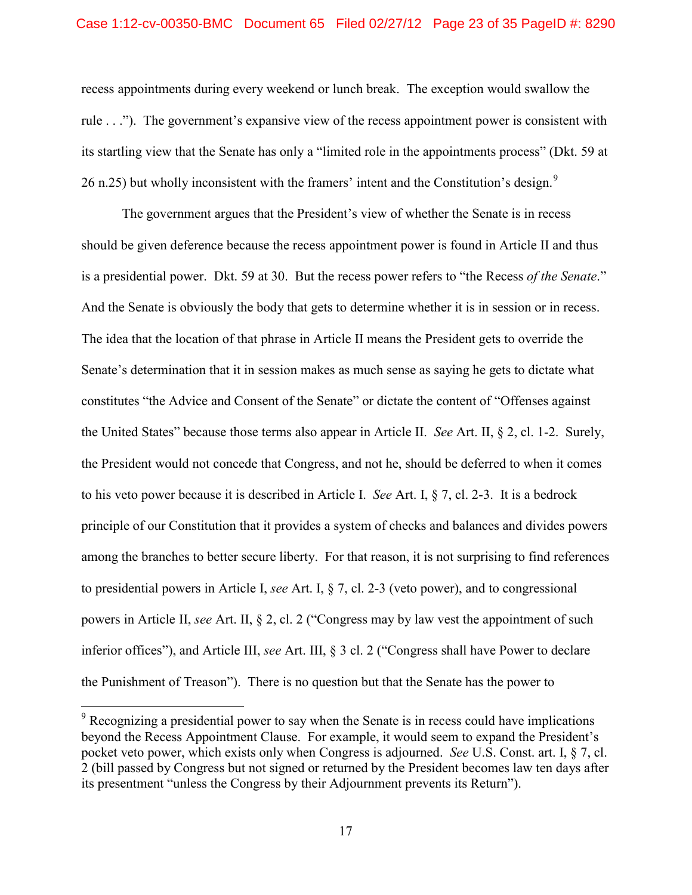#### Case 1:12-cv-00350-BMC Document 65 Filed 02/27/12 Page 23 of 35 PageID #: 8290

recess appointments during every weekend or lunch break. The exception would swallow the rule . . ."). The government's expansive view of the recess appointment power is consistent with its startling view that the Senate has only a "limited role in the appointments process" (Dkt. 59 at 26 n.25) but wholly inconsistent with the framers' intent and the Constitution's design.<sup>[9](#page-22-0)</sup>

The government argues that the President's view of whether the Senate is in recess should be given deference because the recess appointment power is found in Article II and thus is a presidential power. Dkt. 59 at 30. But the recess power refers to "the Recess *of the Senate*." And the Senate is obviously the body that gets to determine whether it is in session or in recess. The idea that the location of that phrase in Article II means the President gets to override the Senate's determination that it in session makes as much sense as saying he gets to dictate what constitutes "the Advice and Consent of the Senate" or dictate the content of "Offenses against the United States" because those terms also appear in Article II. *See* Art. II, § 2, cl. 1-2. Surely, the President would not concede that Congress, and not he, should be deferred to when it comes to his veto power because it is described in Article I. *See* Art. I, § 7, cl. 2-3. It is a bedrock principle of our Constitution that it provides a system of checks and balances and divides powers among the branches to better secure liberty. For that reason, it is not surprising to find references to presidential powers in Article I, *see* Art. I, § 7, cl. 2-3 (veto power), and to congressional powers in Article II, *see* Art. II, § 2, cl. 2 ("Congress may by law vest the appointment of such inferior offices"), and Article III, *see* Art. III, § 3 cl. 2 ("Congress shall have Power to declare the Punishment of Treason"). There is no question but that the Senate has the power to

<span id="page-22-0"></span> $9^9$  Recognizing a presidential power to say when the Senate is in recess could have implications beyond the Recess Appointment Clause. For example, it would seem to expand the President's pocket veto power, which exists only when Congress is adjourned. *See* U.S. Const. art. I, § 7, cl. 2 (bill passed by Congress but not signed or returned by the President becomes law ten days after its presentment "unless the Congress by their Adjournment prevents its Return").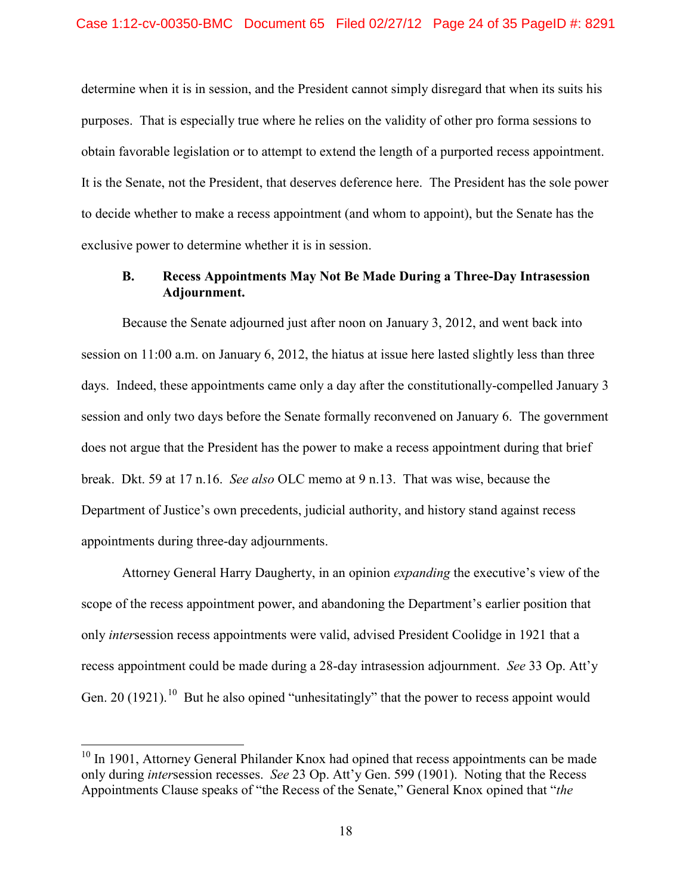determine when it is in session, and the President cannot simply disregard that when its suits his purposes. That is especially true where he relies on the validity of other pro forma sessions to obtain favorable legislation or to attempt to extend the length of a purported recess appointment. It is the Senate, not the President, that deserves deference here. The President has the sole power to decide whether to make a recess appointment (and whom to appoint), but the Senate has the exclusive power to determine whether it is in session.

## <span id="page-23-0"></span>**B. Recess Appointments May Not Be Made During a Three-Day Intrasession Adjournment.**

Because the Senate adjourned just after noon on January 3, 2012, and went back into session on 11:00 a.m. on January 6, 2012, the hiatus at issue here lasted slightly less than three days. Indeed, these appointments came only a day after the constitutionally-compelled January 3 session and only two days before the Senate formally reconvened on January 6. The government does not argue that the President has the power to make a recess appointment during that brief break. Dkt. 59 at 17 n.16. *See also* OLC memo at 9 n.13. That was wise, because the Department of Justice's own precedents, judicial authority, and history stand against recess appointments during three-day adjournments.

Attorney General Harry Daugherty, in an opinion *expanding* the executive's view of the scope of the recess appointment power, and abandoning the Department's earlier position that only *inter*session recess appointments were valid, advised President Coolidge in 1921 that a recess appointment could be made during a 28-day intrasession adjournment. *See* 33 Op. Att'y Gen. 20 (1921).<sup>10</sup> But he also opined "unhesitatingly" that the power to recess appoint would

<sup>&</sup>lt;sup>10</sup> In 1901, Attorney General Philander Knox had opined that recess appointments can be made only during *inter*session recesses. *See* 23 Op. Att'y Gen. 599 (1901). Noting that the Recess Appointments Clause speaks of "the Recess of the Senate," General Knox opined that "*the*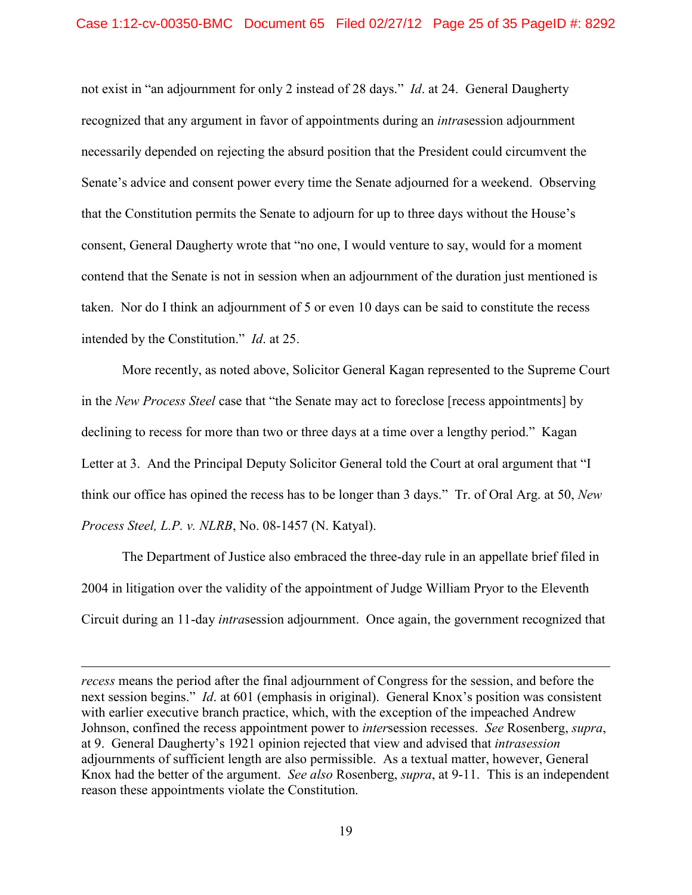not exist in "an adjournment for only 2 instead of 28 days." *Id*. at 24. General Daugherty recognized that any argument in favor of appointments during an *intra*session adjournment necessarily depended on rejecting the absurd position that the President could circumvent the Senate's advice and consent power every time the Senate adjourned for a weekend. Observing that the Constitution permits the Senate to adjourn for up to three days without the House's consent, General Daugherty wrote that "no one, I would venture to say, would for a moment contend that the Senate is not in session when an adjournment of the duration just mentioned is taken. Nor do I think an adjournment of 5 or even 10 days can be said to constitute the recess intended by the Constitution." *Id*. at 25.

More recently, as noted above, Solicitor General Kagan represented to the Supreme Court in the *New Process Steel* case that "the Senate may act to foreclose [recess appointments] by declining to recess for more than two or three days at a time over a lengthy period." Kagan Letter at 3. And the Principal Deputy Solicitor General told the Court at oral argument that "I think our office has opined the recess has to be longer than 3 days." Tr. of Oral Arg. at 50, *New Process Steel, L.P. v. NLRB*, No. 08-1457 (N. Katyal).

The Department of Justice also embraced the three-day rule in an appellate brief filed in 2004 in litigation over the validity of the appointment of Judge William Pryor to the Eleventh Circuit during an 11-day *intra*session adjournment. Once again, the government recognized that

<span id="page-24-0"></span> $\overline{a}$ 

*recess* means the period after the final adjournment of Congress for the session, and before the next session begins." *Id*. at 601 (emphasis in original). General Knox's position was consistent with earlier executive branch practice, which, with the exception of the impeached Andrew Johnson, confined the recess appointment power to *inter*session recesses. *See* Rosenberg, *supra*, at 9. General Daugherty's 1921 opinion rejected that view and advised that *intrasession* adjournments of sufficient length are also permissible. As a textual matter, however, General Knox had the better of the argument. *See also* Rosenberg, *supra*, at 9-11. This is an independent reason these appointments violate the Constitution.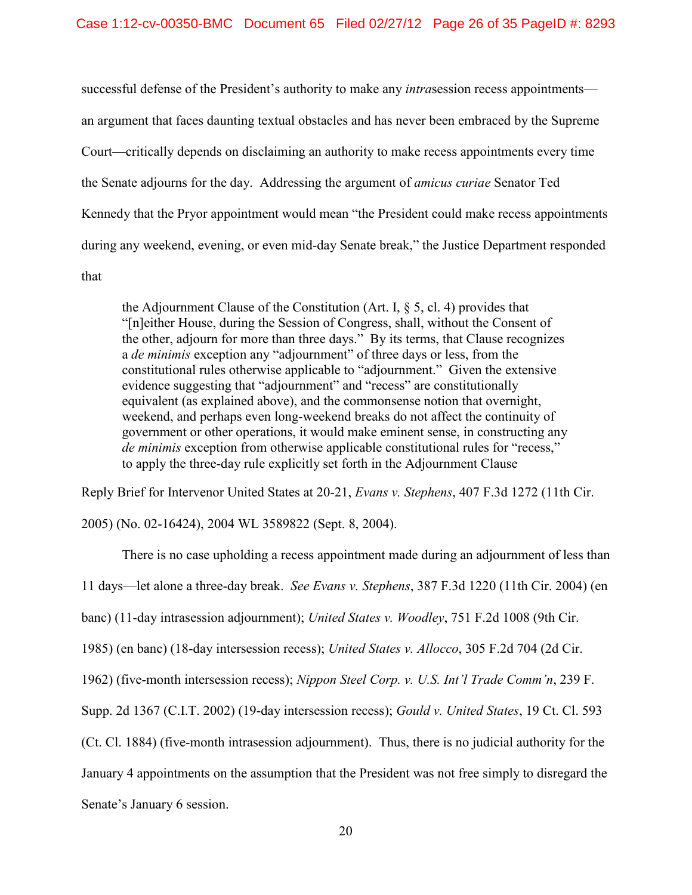successful defense of the President's authority to make any *intra*session recess appointments an argument that faces daunting textual obstacles and has never been embraced by the Supreme Court—critically depends on disclaiming an authority to make recess appointments every time the Senate adjourns for the day. Addressing the argument of *amicus curiae* Senator Ted Kennedy that the Pryor appointment would mean "the President could make recess appointments during any weekend, evening, or even mid-day Senate break," the Justice Department responded that

the Adjournment Clause of the Constitution (Art. I,  $\S$  5, cl. 4) provides that "[n]either House, during the Session of Congress, shall, without the Consent of the other, adjourn for more than three days." By its terms, that Clause recognizes a *de minimis* exception any "adjournment" of three days or less, from the constitutional rules otherwise applicable to "adjournment." Given the extensive evidence suggesting that "adjournment" and "recess" are constitutionally equivalent (as explained above), and the commonsense notion that overnight, weekend, and perhaps even long-weekend breaks do not affect the continuity of government or other operations, it would make eminent sense, in constructing any *de minimis* exception from otherwise applicable constitutional rules for "recess," to apply the three-day rule explicitly set forth in the Adjournment Clause

Reply Brief for Intervenor United States at 20-21, *Evans v. Stephens*, 407 F.3d 1272 (11th Cir.

2005) (No. 02-16424), 2004 WL 3589822 (Sept. 8, 2004).

There is no case upholding a recess appointment made during an adjournment of less than 11 days—let alone a three-day break. *See Evans v. Stephens*, 387 F.3d 1220 (11th Cir. 2004) (en banc) (11-day intrasession adjournment); *United States v. Woodley*, 751 F.2d 1008 (9th Cir. 1985) (en banc) (18-day intersession recess); *United States v. Allocco*, 305 F.2d 704 (2d Cir. 1962) (five-month intersession recess); *Nippon Steel Corp. v. U.S. Int'l Trade Comm'n*, 239 F. Supp. 2d 1367 (C.I.T. 2002) (19-day intersession recess); *Gould v. United States*, 19 Ct. Cl. 593 (Ct. Cl. 1884) (five-month intrasession adjournment). Thus, there is no judicial authority for the January 4 appointments on the assumption that the President was not free simply to disregard the Senate's January 6 session.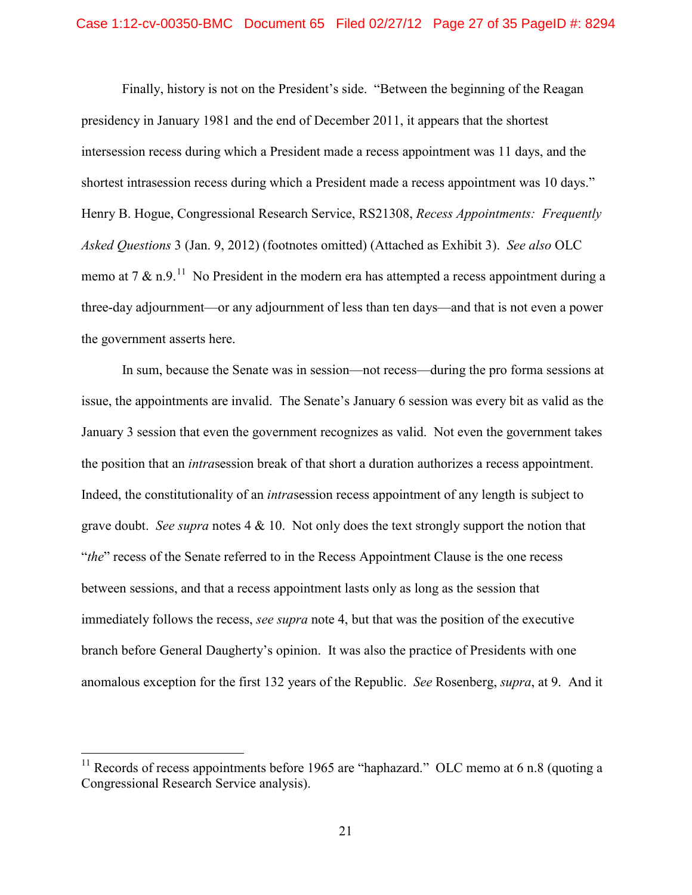#### Case 1:12-cv-00350-BMC Document 65 Filed 02/27/12 Page 27 of 35 PageID #: 8294

Finally, history is not on the President's side. "Between the beginning of the Reagan presidency in January 1981 and the end of December 2011, it appears that the shortest intersession recess during which a President made a recess appointment was 11 days, and the shortest intrasession recess during which a President made a recess appointment was 10 days." Henry B. Hogue, Congressional Research Service, RS21308, *Recess Appointments: Frequently Asked Questions* 3 (Jan. 9, 2012) (footnotes omitted) (Attached as Exhibit 3). *See also* OLC memo at 7  $\&$  n.9.<sup>11</sup> No President in the modern era has attempted a recess appointment during a three-day adjournment—or any adjournment of less than ten days—and that is not even a power the government asserts here.

In sum, because the Senate was in session—not recess—during the pro forma sessions at issue, the appointments are invalid. The Senate's January 6 session was every bit as valid as the January 3 session that even the government recognizes as valid. Not even the government takes the position that an *intra*session break of that short a duration authorizes a recess appointment. Indeed, the constitutionality of an *intra*session recess appointment of any length is subject to grave doubt. *See supra* notes 4 & 10. Not only does the text strongly support the notion that "*the*" recess of the Senate referred to in the Recess Appointment Clause is the one recess between sessions, and that a recess appointment lasts only as long as the session that immediately follows the recess, *see supra* note 4, but that was the position of the executive branch before General Daugherty's opinion. It was also the practice of Presidents with one anomalous exception for the first 132 years of the Republic. *See* Rosenberg, *supra*, at 9. And it

<span id="page-26-0"></span><sup>&</sup>lt;sup>11</sup> Records of recess appointments before 1965 are "haphazard." OLC memo at 6 n.8 (quoting a Congressional Research Service analysis).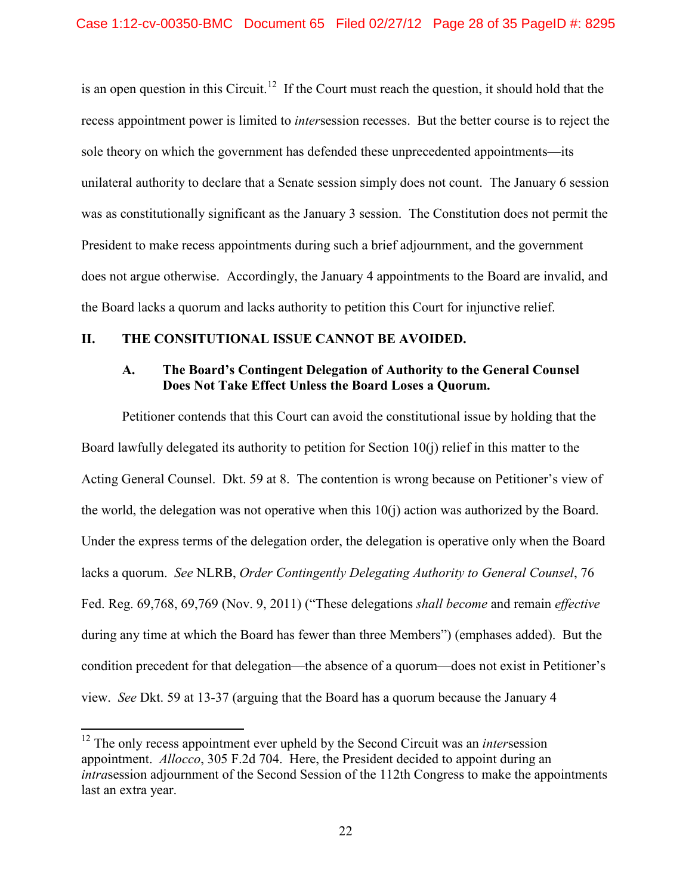is an open question in this Circuit.<sup>[12](#page-27-2)</sup> If the Court must reach the question, it should hold that the recess appointment power is limited to *inter*session recesses. But the better course is to reject the sole theory on which the government has defended these unprecedented appointments—its unilateral authority to declare that a Senate session simply does not count. The January 6 session was as constitutionally significant as the January 3 session. The Constitution does not permit the President to make recess appointments during such a brief adjournment, and the government does not argue otherwise. Accordingly, the January 4 appointments to the Board are invalid, and the Board lacks a quorum and lacks authority to petition this Court for injunctive relief.

## <span id="page-27-1"></span><span id="page-27-0"></span>**II. THE CONSITUTIONAL ISSUE CANNOT BE AVOIDED.**

## **A. The Board's Contingent Delegation of Authority to the General Counsel Does Not Take Effect Unless the Board Loses a Quorum.**

Petitioner contends that this Court can avoid the constitutional issue by holding that the Board lawfully delegated its authority to petition for Section 10(j) relief in this matter to the Acting General Counsel. Dkt. 59 at 8. The contention is wrong because on Petitioner's view of the world, the delegation was not operative when this 10(j) action was authorized by the Board. Under the express terms of the delegation order, the delegation is operative only when the Board lacks a quorum. *See* NLRB, *Order Contingently Delegating Authority to General Counsel*, 76 Fed. Reg. 69,768, 69,769 (Nov. 9, 2011) ("These delegations *shall become* and remain *effective* during any time at which the Board has fewer than three Members") (emphases added). But the condition precedent for that delegation—the absence of a quorum—does not exist in Petitioner's view. *See* Dkt. 59 at 13-37 (arguing that the Board has a quorum because the January 4

<span id="page-27-2"></span><sup>&</sup>lt;sup>12</sup> The only recess appointment ever upheld by the Second Circuit was an *intersession* appointment. *Allocco*, 305 F.2d 704. Here, the President decided to appoint during an *intra*session adjournment of the Second Session of the 112th Congress to make the appointments last an extra year.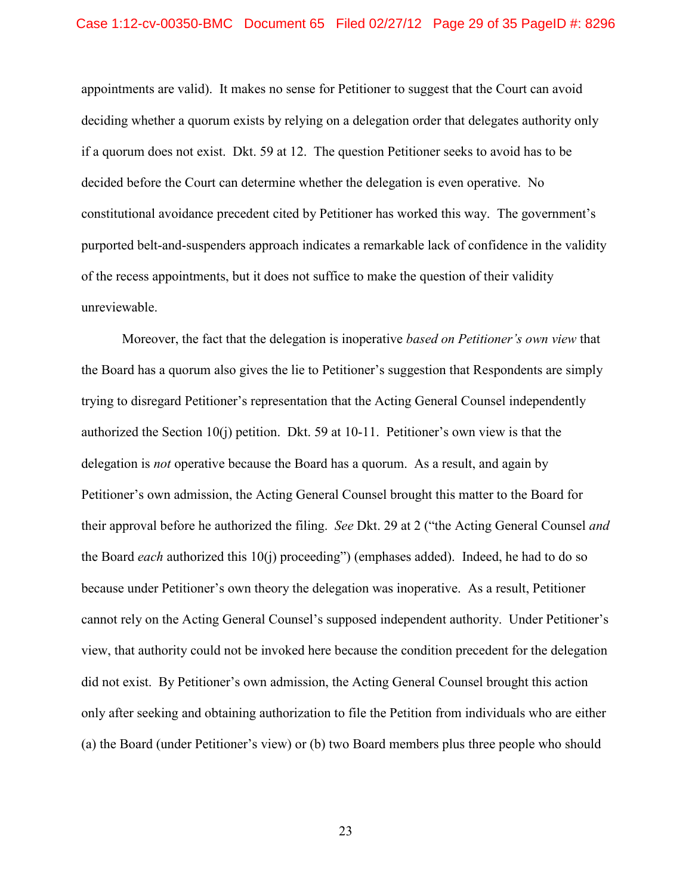#### Case 1:12-cv-00350-BMC Document 65 Filed 02/27/12 Page 29 of 35 PageID #: 8296

appointments are valid). It makes no sense for Petitioner to suggest that the Court can avoid deciding whether a quorum exists by relying on a delegation order that delegates authority only if a quorum does not exist. Dkt. 59 at 12. The question Petitioner seeks to avoid has to be decided before the Court can determine whether the delegation is even operative. No constitutional avoidance precedent cited by Petitioner has worked this way. The government's purported belt-and-suspenders approach indicates a remarkable lack of confidence in the validity of the recess appointments, but it does not suffice to make the question of their validity unreviewable.

Moreover, the fact that the delegation is inoperative *based on Petitioner's own view* that the Board has a quorum also gives the lie to Petitioner's suggestion that Respondents are simply trying to disregard Petitioner's representation that the Acting General Counsel independently authorized the Section 10(j) petition. Dkt. 59 at 10-11. Petitioner's own view is that the delegation is *not* operative because the Board has a quorum. As a result, and again by Petitioner's own admission, the Acting General Counsel brought this matter to the Board for their approval before he authorized the filing. *See* Dkt. 29 at 2 ("the Acting General Counsel *and* the Board *each* authorized this 10(j) proceeding") (emphases added). Indeed, he had to do so because under Petitioner's own theory the delegation was inoperative. As a result, Petitioner cannot rely on the Acting General Counsel's supposed independent authority. Under Petitioner's view, that authority could not be invoked here because the condition precedent for the delegation did not exist. By Petitioner's own admission, the Acting General Counsel brought this action only after seeking and obtaining authorization to file the Petition from individuals who are either (a) the Board (under Petitioner's view) or (b) two Board members plus three people who should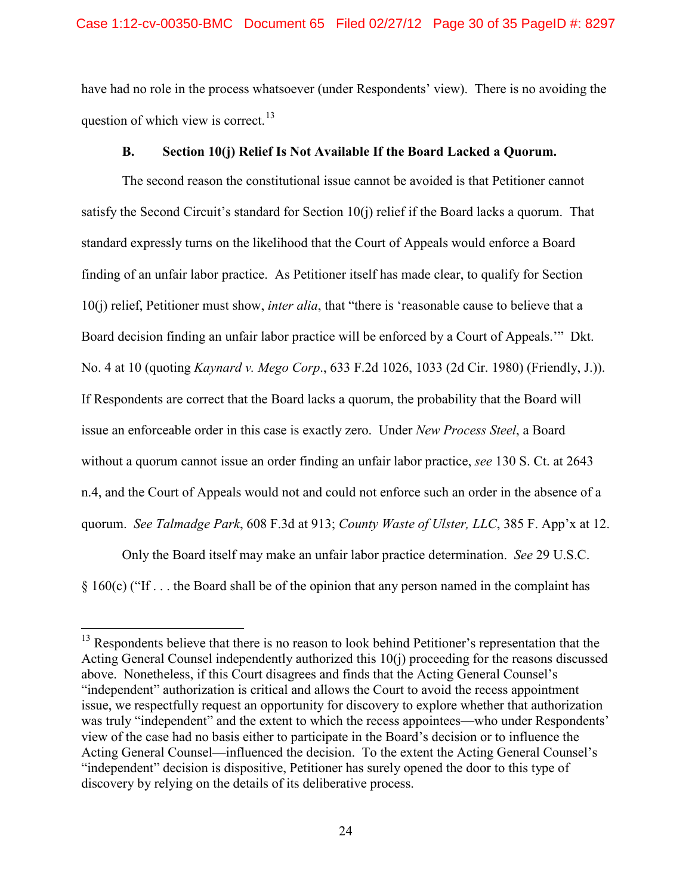have had no role in the process whatsoever (under Respondents' view). There is no avoiding the question of which view is correct.<sup>[13](#page-29-1)</sup>

### **B. Section 10(j) Relief Is Not Available If the Board Lacked a Quorum.**

<span id="page-29-0"></span>The second reason the constitutional issue cannot be avoided is that Petitioner cannot satisfy the Second Circuit's standard for Section 10(j) relief if the Board lacks a quorum. That standard expressly turns on the likelihood that the Court of Appeals would enforce a Board finding of an unfair labor practice. As Petitioner itself has made clear, to qualify for Section 10(j) relief, Petitioner must show, *inter alia*, that "there is 'reasonable cause to believe that a Board decision finding an unfair labor practice will be enforced by a Court of Appeals.'" Dkt. No. 4 at 10 (quoting *Kaynard v. Mego Corp*., 633 F.2d 1026, 1033 (2d Cir. 1980) (Friendly, J.)). If Respondents are correct that the Board lacks a quorum, the probability that the Board will issue an enforceable order in this case is exactly zero. Under *New Process Steel*, a Board without a quorum cannot issue an order finding an unfair labor practice, *see* 130 S. Ct. at 2643 n.4, and the Court of Appeals would not and could not enforce such an order in the absence of a quorum. *See Talmadge Park*, 608 F.3d at 913; *County Waste of Ulster, LLC*, 385 F. App'x at 12.

Only the Board itself may make an unfair labor practice determination. *See* 29 U.S.C. § 160(c) ("If . . . the Board shall be of the opinion that any person named in the complaint has

<span id="page-29-1"></span><sup>&</sup>lt;sup>13</sup> Respondents believe that there is no reason to look behind Petitioner's representation that the Acting General Counsel independently authorized this 10(j) proceeding for the reasons discussed above. Nonetheless, if this Court disagrees and finds that the Acting General Counsel's "independent" authorization is critical and allows the Court to avoid the recess appointment issue, we respectfully request an opportunity for discovery to explore whether that authorization was truly "independent" and the extent to which the recess appointees—who under Respondents' view of the case had no basis either to participate in the Board's decision or to influence the Acting General Counsel—influenced the decision. To the extent the Acting General Counsel's "independent" decision is dispositive, Petitioner has surely opened the door to this type of discovery by relying on the details of its deliberative process.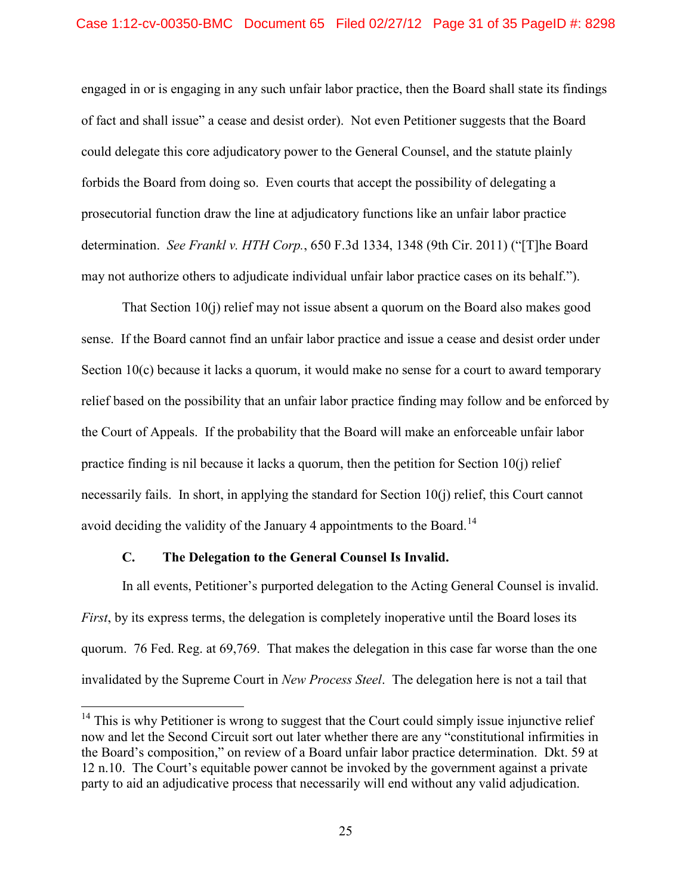engaged in or is engaging in any such unfair labor practice, then the Board shall state its findings of fact and shall issue" a cease and desist order). Not even Petitioner suggests that the Board could delegate this core adjudicatory power to the General Counsel, and the statute plainly forbids the Board from doing so. Even courts that accept the possibility of delegating a prosecutorial function draw the line at adjudicatory functions like an unfair labor practice determination. *See Frankl v. HTH Corp.*, 650 F.3d 1334, 1348 (9th Cir. 2011) ("[T]he Board may not authorize others to adjudicate individual unfair labor practice cases on its behalf.").

That Section 10(j) relief may not issue absent a quorum on the Board also makes good sense. If the Board cannot find an unfair labor practice and issue a cease and desist order under Section 10(c) because it lacks a quorum, it would make no sense for a court to award temporary relief based on the possibility that an unfair labor practice finding may follow and be enforced by the Court of Appeals. If the probability that the Board will make an enforceable unfair labor practice finding is nil because it lacks a quorum, then the petition for Section 10(j) relief necessarily fails. In short, in applying the standard for Section 10(j) relief, this Court cannot avoid deciding the validity of the January 4 appointments to the Board.<sup>[14](#page-30-1)</sup>

## **C. The Delegation to the General Counsel Is Invalid.**

<span id="page-30-0"></span>In all events, Petitioner's purported delegation to the Acting General Counsel is invalid. *First*, by its express terms, the delegation is completely inoperative until the Board loses its quorum. 76 Fed. Reg. at 69,769. That makes the delegation in this case far worse than the one invalidated by the Supreme Court in *New Process Steel*. The delegation here is not a tail that

<span id="page-30-1"></span> $14$  This is why Petitioner is wrong to suggest that the Court could simply issue injunctive relief now and let the Second Circuit sort out later whether there are any "constitutional infirmities in the Board's composition," on review of a Board unfair labor practice determination. Dkt. 59 at 12 n.10. The Court's equitable power cannot be invoked by the government against a private party to aid an adjudicative process that necessarily will end without any valid adjudication.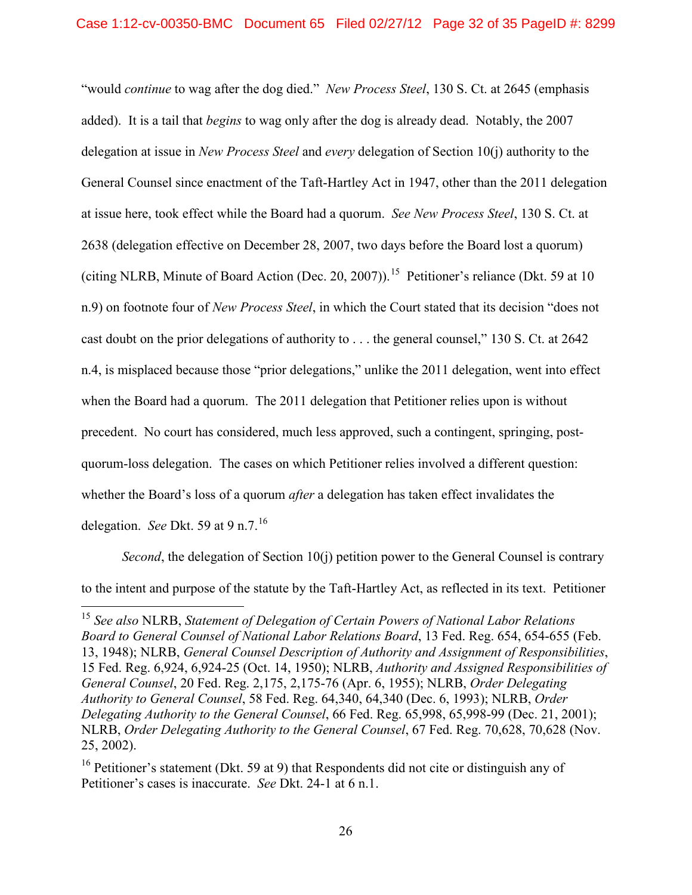"would *continue* to wag after the dog died." *New Process Steel*, 130 S. Ct. at 2645 (emphasis added). It is a tail that *begins* to wag only after the dog is already dead. Notably, the 2007 delegation at issue in *New Process Steel* and *every* delegation of Section 10(j) authority to the General Counsel since enactment of the Taft-Hartley Act in 1947, other than the 2011 delegation at issue here, took effect while the Board had a quorum. *See New Process Steel*, 130 S. Ct. at 2638 (delegation effective on December 28, 2007, two days before the Board lost a quorum) (citing NLRB, Minute of Board Action (Dec. 20, 2007)). [15](#page-31-0) Petitioner's reliance (Dkt. 59 at 10 n.9) on footnote four of *New Process Steel*, in which the Court stated that its decision "does not cast doubt on the prior delegations of authority to . . . the general counsel," 130 S. Ct. at 2642 n.4, is misplaced because those "prior delegations," unlike the 2011 delegation, went into effect when the Board had a quorum. The 2011 delegation that Petitioner relies upon is without precedent. No court has considered, much less approved, such a contingent, springing, postquorum-loss delegation. The cases on which Petitioner relies involved a different question: whether the Board's loss of a quorum *after* a delegation has taken effect invalidates the delegation. *See* Dkt. 59 at 9 n.7.[16](#page-31-1)

*Second*, the delegation of Section 10(j) petition power to the General Counsel is contrary to the intent and purpose of the statute by the Taft-Hartley Act, as reflected in its text. Petitioner

<span id="page-31-0"></span> <sup>15</sup> *See also* NLRB, *Statement of Delegation of Certain Powers of National Labor Relations Board to General Counsel of National Labor Relations Board*, 13 Fed. Reg. 654, 654-655 (Feb. 13, 1948); NLRB, *General Counsel Description of Authority and Assignment of Responsibilities*, 15 Fed. Reg. 6,924, 6,924-25 (Oct. 14, 1950); NLRB, *Authority and Assigned Responsibilities of General Counsel*, 20 Fed. Reg. 2,175, 2,175-76 (Apr. 6, 1955); NLRB, *Order Delegating Authority to General Counsel*, 58 Fed. Reg. 64,340, 64,340 (Dec. 6, 1993); NLRB, *Order Delegating Authority to the General Counsel*, 66 Fed. Reg. 65,998, 65,998-99 (Dec. 21, 2001); NLRB, *Order Delegating Authority to the General Counsel*, 67 Fed. Reg. 70,628, 70,628 (Nov. 25, 2002).

<span id="page-31-1"></span><sup>&</sup>lt;sup>16</sup> Petitioner's statement (Dkt. 59 at 9) that Respondents did not cite or distinguish any of Petitioner's cases is inaccurate. *See* Dkt. 24-1 at 6 n.1.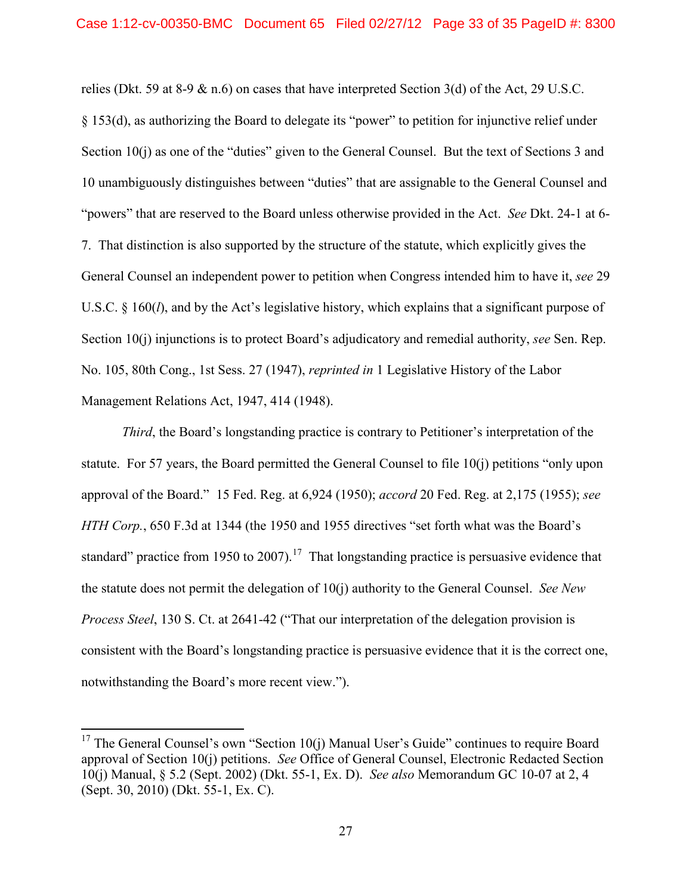relies (Dkt. 59 at 8-9 & n.6) on cases that have interpreted Section 3(d) of the Act, 29 U.S.C. § 153(d), as authorizing the Board to delegate its "power" to petition for injunctive relief under Section 10(j) as one of the "duties" given to the General Counsel. But the text of Sections 3 and 10 unambiguously distinguishes between "duties" that are assignable to the General Counsel and "powers" that are reserved to the Board unless otherwise provided in the Act. *See* Dkt. 24-1 at 6- 7. That distinction is also supported by the structure of the statute, which explicitly gives the General Counsel an independent power to petition when Congress intended him to have it, *see* 29 U.S.C. § 160(*l*), and by the Act's legislative history, which explains that a significant purpose of Section 10(j) injunctions is to protect Board's adjudicatory and remedial authority, *see* Sen. Rep. No. 105, 80th Cong., 1st Sess. 27 (1947), *reprinted in* 1 Legislative History of the Labor Management Relations Act, 1947, 414 (1948).

*Third*, the Board's longstanding practice is contrary to Petitioner's interpretation of the statute. For 57 years, the Board permitted the General Counsel to file 10(j) petitions "only upon approval of the Board." 15 Fed. Reg. at 6,924 (1950); *accord* 20 Fed. Reg. at 2,175 (1955); *see HTH Corp.*, 650 F.3d at 1344 (the 1950 and 1955 directives "set forth what was the Board's standard" practice from 1950 to 2007).<sup>[17](#page-32-0)</sup> That longstanding practice is persuasive evidence that the statute does not permit the delegation of 10(j) authority to the General Counsel. *See New Process Steel*, 130 S. Ct. at 2641-42 ("That our interpretation of the delegation provision is consistent with the Board's longstanding practice is persuasive evidence that it is the correct one, notwithstanding the Board's more recent view.").

<span id="page-32-0"></span><sup>&</sup>lt;sup>17</sup> The General Counsel's own "Section  $10(i)$  Manual User's Guide" continues to require Board approval of Section 10(j) petitions. *See* Office of General Counsel, Electronic Redacted Section 10(j) Manual, § 5.2 (Sept. 2002) (Dkt. 55-1, Ex. D). *See also* Memorandum GC 10-07 at 2, 4 (Sept. 30, 2010) (Dkt. 55-1, Ex. C).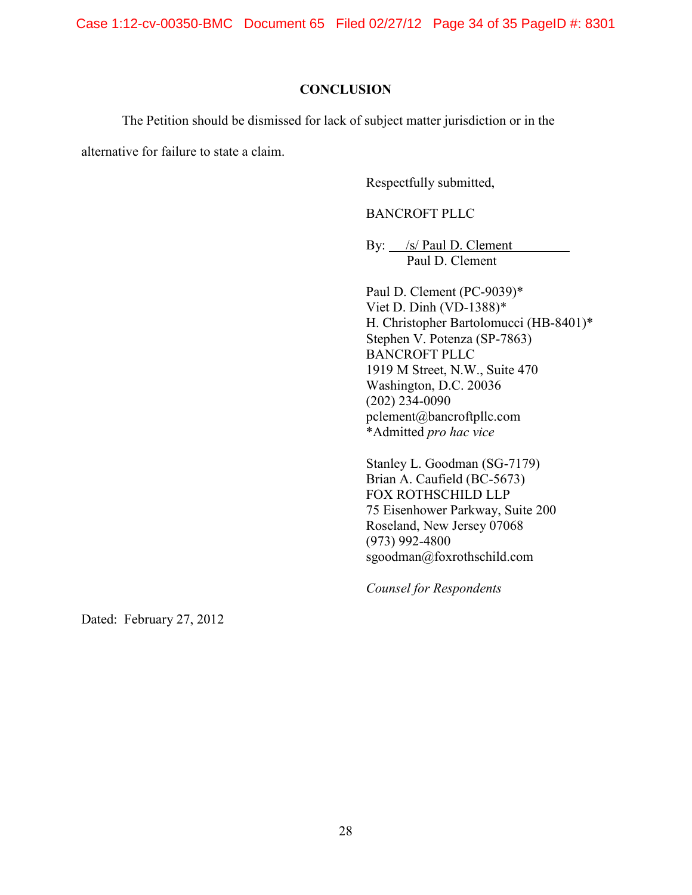Case 1:12-cv-00350-BMC Document 65 Filed 02/27/12 Page 34 of 35 PageID #: 8301

### **CONCLUSION**

<span id="page-33-0"></span>The Petition should be dismissed for lack of subject matter jurisdiction or in the

alternative for failure to state a claim.

Respectfully submitted,

BANCROFT PLLC

By: <u>/s/ Paul D. Clement</u> Paul D. Clement

Paul D. Clement (PC-9039)\* Viet D. Dinh (VD-1388)\* H. Christopher Bartolomucci (HB-8401)\* Stephen V. Potenza (SP-7863) BANCROFT PLLC 1919 M Street, N.W., Suite 470 Washington, D.C. 20036 (202) 234-0090 pclement@bancroftpllc.com \*Admitted *pro hac vice*

Stanley L. Goodman (SG-7179) Brian A. Caufield (BC-5673) FOX ROTHSCHILD LLP 75 Eisenhower Parkway, Suite 200 Roseland, New Jersey 07068 (973) 992-4800 sgoodman@foxrothschild.com

*Counsel for Respondents*

Dated: February 27, 2012